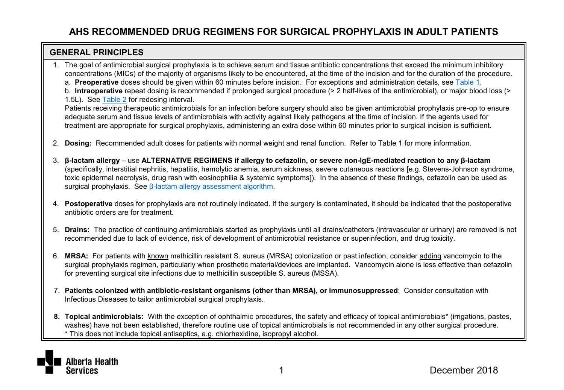#### <span id="page-0-0"></span>**GENERAL PRINCIPLES**

- 1. The goal of antimicrobial surgical prophylaxis is to achieve serum and tissue antibiotic concentrations that exceed the minimum inhibitory concentrations (MICs) of the majority of organisms likely to be encountered, at the time of the incision and for the duration of the procedure.
	- a. **Preoperative** doses should be given within 60 minutes before incision. For exceptions and administration details, se[e Table 1.](#page-1-0)

b. **Intraoperative** repeat dosing is recommended if prolonged surgical procedure (> 2 half-lives of the antimicrobial), or major blood loss (> 1.5L). Se[e Table 2](#page-2-0) for redosing interval.

Patients receiving therapeutic antimicrobials for an infection before surgery should also be given antimicrobial prophylaxis pre-op to ensure adequate serum and tissue levels of antimicrobials with activity against likely pathogens at the time of incision. If the agents used for treatment are appropriate for surgical prophylaxis, administering an extra dose within 60 minutes prior to surgical incision is sufficient.

- 2. **Dosing:** Recommended adult doses for patients with normal weight and renal function. Refer to Table 1 for more information.
- 3. **β-lactam allergy**  use **ALTERNATIVE REGIMENS if allergy to cefazolin, or severe non-IgE-mediated reaction to any β-lactam**  (specifically, interstitial nephritis, hepatitis, hemolytic anemia, serum sickness, severe cutaneous reactions [e.g. Stevens-Johnson syndrome, toxic epidermal necrolysis, drug rash with eosinophilia & systemic symptoms]). In the absence of these findings, cefazolin can be used as surgical prophylaxis. See β[-lactam allergy assessment algorithm.](https://www.albertahealthservices.ca/assets/info/hp/as/if-hp-as-blactam-allergy-surgical-prophylaxis-algorithm.pdf)
- 4. **Postoperative** doses for prophylaxis are not routinely indicated. If the surgery is contaminated, it should be indicated that the postoperative antibiotic orders are for treatment.
- 5. **Drains:** The practice of continuing antimicrobials started as prophylaxis until all drains/catheters (intravascular or urinary) are removed is not recommended due to lack of evidence, risk of development of antimicrobial resistance or superinfection, and drug toxicity.
- 6. **MRSA:** For patients with known methicillin resistant S. aureus (MRSA) colonization or past infection, consider adding vancomycin to the surgical prophylaxis regimen, particularly when prosthetic material/devices are implanted. Vancomycin alone is less effective than cefazolin for preventing surgical site infections due to methicillin susceptible S. aureus (MSSA).
- 7. **Patients colonized with antibiotic-resistant organisms (other than MRSA), or immunosuppressed**: Consider consultation with Infectious Diseases to tailor antimicrobial surgical prophylaxis.
- **8. Topical antimicrobials:** With the exception of ophthalmic procedures, the safety and efficacy of topical antimicrobials\* (irrigations, pastes, washes) have not been established, therefore routine use of topical antimicrobials is not recommended in any other surgical procedure. \* This does not include topical antiseptics, e.g. chlorhexidine, isopropyl alcohol.

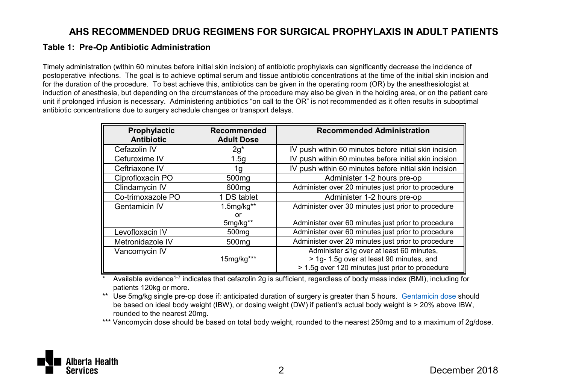#### <span id="page-1-0"></span>**Table 1: Pre-Op Antibiotic Administration**

Timely administration (within 60 minutes before initial skin incision) of antibiotic prophylaxis can significantly decrease the incidence of postoperative infections. The goal is to achieve optimal serum and tissue antibiotic concentrations at the time of the initial skin incision and for the duration of the procedure. To best achieve this, antibiotics can be given in the operating room (OR) by the anesthesiologist at induction of anesthesia, but depending on the circumstances of the procedure may also be given in the holding area, or on the patient care unit if prolonged infusion is necessary. Administering antibiotics "on call to the OR" is not recommended as it often results in suboptimal antibiotic concentrations due to surgery schedule changes or transport delays.

| Prophylactic<br><b>Antibiotic</b> | Recommended<br><b>Adult Dose</b> | <b>Recommended Administration</b>                      |
|-----------------------------------|----------------------------------|--------------------------------------------------------|
| Cefazolin IV                      | $2g^*$                           | IV push within 60 minutes before initial skin incision |
| Cefuroxime IV                     | 1.5q                             | IV push within 60 minutes before initial skin incision |
| Ceftriaxone IV                    | 1g                               | IV push within 60 minutes before initial skin incision |
| Ciprofloxacin PO                  | 500 <sub>mg</sub>                | Administer 1-2 hours pre-op                            |
| Clindamycin IV                    | 600 <sub>mg</sub>                | Administer over 20 minutes just prior to procedure     |
| Co-trimoxazole PO                 | 1 DS tablet                      | Administer 1-2 hours pre-op                            |
| Gentamicin IV                     | 1.5mg/kg**                       | Administer over 30 minutes just prior to procedure     |
|                                   | or                               |                                                        |
|                                   | 5mg/kg**                         | Administer over 60 minutes just prior to procedure     |
| Levofloxacin IV                   | 500 <sub>mq</sub>                | Administer over 60 minutes just prior to procedure     |
| Metronidazole IV                  | 500 <sub>mq</sub>                | Administer over 20 minutes just prior to procedure     |
| Vancomvcin IV                     |                                  | Administer ≤1g over at least 60 minutes,               |
|                                   | 15mg/kg***                       | > 1g- 1.5g over at least 90 minutes, and               |
|                                   |                                  | > 1.5q over 120 minutes just prior to procedure        |

Available evidence<sup>1-7</sup> indicates that cefazolin 2g is sufficient, regardless of body mass index (BMI), including for patients 120kg or more.

\*\* Use 5mg/kg single pre-op dose if: anticipated duration of surgery is greater than 5 hours. [Gentamicin dose](http://www.bugsanddrugs.org/Home/Index/bdpageEAA092560E464F08842EFC374B0A13CE) should be based on ideal body weight (IBW), or dosing weight (DW) if patient's actual body weight is > 20% above IBW, rounded to the nearest 20mg.

\*\*\* Vancomycin dose should be based on total body weight, rounded to the nearest 250mg and to a maximum of 2g/dose.

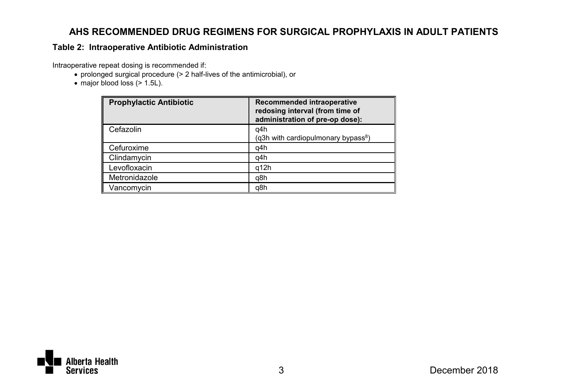#### <span id="page-2-0"></span>**Table 2: Intraoperative Antibiotic Administration**

Intraoperative repeat dosing is recommended if:

- prolonged surgical procedure (> 2 half-lives of the antimicrobial), or
- $\bullet$  major blood loss ( $> 1.5$ L).

| <b>Prophylactic Antibiotic</b> | Recommended intraoperative<br>redosing interval (from time of<br>administration of pre-op dose): |
|--------------------------------|--------------------------------------------------------------------------------------------------|
| Cefazolin                      | q4h<br>(g3h with cardiopulmonary bypass <sup>8</sup> )                                           |
| Cefuroxime                     | q4h                                                                                              |
| Clindamycin                    | q4h                                                                                              |
| Levofloxacin                   | q12h                                                                                             |
| Metronidazole                  | q8h                                                                                              |
| Vancomycin                     | q8h                                                                                              |

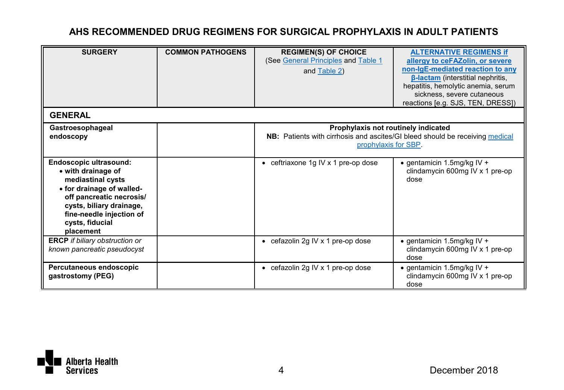| <b>SURGERY</b>                                                                                                                                                                                                     | <b>COMMON PATHOGENS</b> | <b>REGIMEN(S) OF CHOICE</b><br>(See General Principles and Table 1<br>and Table 2)                                                                 | <b>ALTERNATIVE REGIMENS if</b><br>allergy to ceFAZolin, or severe<br>non-IgE-mediated reaction to any<br><b>B-lactam</b> (interstitial nephritis,<br>hepatitis, hemolytic anemia, serum<br>sickness, severe cutaneous<br>reactions [e.g. SJS, TEN, DRESS]) |
|--------------------------------------------------------------------------------------------------------------------------------------------------------------------------------------------------------------------|-------------------------|----------------------------------------------------------------------------------------------------------------------------------------------------|------------------------------------------------------------------------------------------------------------------------------------------------------------------------------------------------------------------------------------------------------------|
| <b>GENERAL</b>                                                                                                                                                                                                     |                         |                                                                                                                                                    |                                                                                                                                                                                                                                                            |
| Gastroesophageal<br>endoscopy                                                                                                                                                                                      |                         | Prophylaxis not routinely indicated<br><b>NB:</b> Patients with cirrhosis and ascites/GI bleed should be receiving medical<br>prophylaxis for SBP. |                                                                                                                                                                                                                                                            |
| Endoscopic ultrasound:<br>• with drainage of<br>mediastinal cysts<br>• for drainage of walled-<br>off pancreatic necrosis/<br>cysts, biliary drainage,<br>fine-needle injection of<br>cysts, fiducial<br>placement |                         | $\bullet$ ceftriaxone 1g IV x 1 pre-op dose                                                                                                        | $\bullet$ gentamicin 1.5mg/kg IV +<br>clindamycin 600mg IV x 1 pre-op<br>dose                                                                                                                                                                              |
| <b>ERCP</b> if biliary obstruction or<br>known pancreatic pseudocyst                                                                                                                                               |                         | • cefazolin 2g IV x 1 pre-op dose                                                                                                                  | $\bullet$ gentamicin 1.5mg/kg IV +<br>clindamycin 600mg IV x 1 pre-op<br>dose                                                                                                                                                                              |
| Percutaneous endoscopic<br>gastrostomy (PEG)                                                                                                                                                                       |                         | • cefazolin 2g IV x 1 pre-op dose                                                                                                                  | $\bullet$ gentamicin 1.5mg/kg IV +<br>clindamycin 600mg IV x 1 pre-op<br>dose                                                                                                                                                                              |

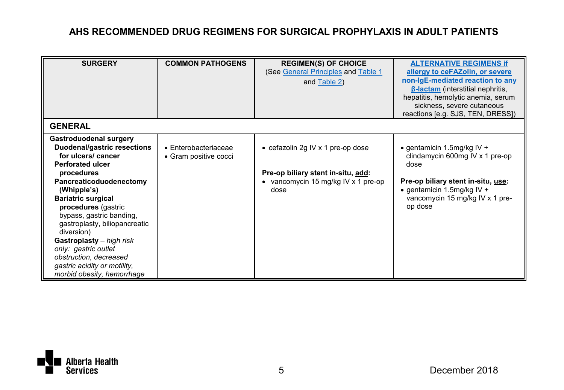| <b>SURGERY</b>                                                                                                                                                                                                                                                                                                                                                                                                                     | <b>COMMON PATHOGENS</b>                               | <b>REGIMEN(S) OF CHOICE</b><br>(See General Principles and Table 1<br>and Table 2)                                     | <b>ALTERNATIVE REGIMENS if</b><br>allergy to ceFAZolin, or severe<br>non-IgE-mediated reaction to any<br><b>B-lactam</b> (interstitial nephritis,<br>hepatitis, hemolytic anemia, serum<br>sickness, severe cutaneous<br>reactions [e.g. SJS, TEN, DRESS]) |
|------------------------------------------------------------------------------------------------------------------------------------------------------------------------------------------------------------------------------------------------------------------------------------------------------------------------------------------------------------------------------------------------------------------------------------|-------------------------------------------------------|------------------------------------------------------------------------------------------------------------------------|------------------------------------------------------------------------------------------------------------------------------------------------------------------------------------------------------------------------------------------------------------|
| <b>GENERAL</b>                                                                                                                                                                                                                                                                                                                                                                                                                     |                                                       |                                                                                                                        |                                                                                                                                                                                                                                                            |
| Gastroduodenal surgery<br>Duodenal/gastric resections<br>for ulcers/ cancer<br>Perforated ulcer<br>procedures<br>Pancreaticoduodenectomy<br>(Whipple's)<br><b>Bariatric surgical</b><br>procedures (gastric<br>bypass, gastric banding,<br>gastroplasty, biliopancreatic<br>diversion)<br>Gastroplasty - high risk<br>only: gastric outlet<br>obstruction, decreased<br>gastric acidity or motility.<br>morbid obesity, hemorrhage | $\bullet$ Enterobacteriaceae<br>• Gram positive cocci | • cefazolin 2g IV x 1 pre-op dose<br>Pre-op biliary stent in situ, add:<br>• vancomycin 15 mg/kg IV x 1 pre-op<br>dose | $\bullet$ gentamicin 1.5mg/kg IV +<br>clindamycin 600mg IV x 1 pre-op<br>dose<br>Pre-op biliary stent in-situ, use:<br>$\bullet$ gentamicin 1.5mg/kg IV +<br>vancomycin 15 mg/kg IV x 1 pre-<br>op dose                                                    |

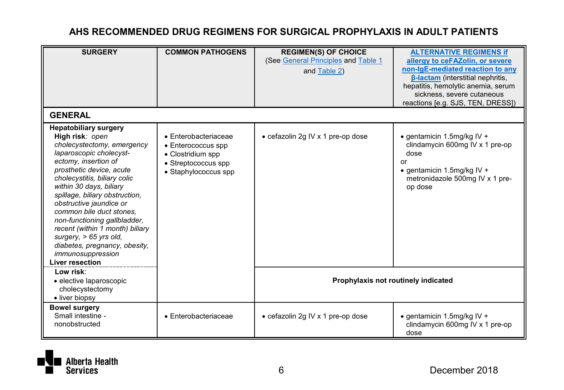| <b>SURGERY</b>                                                                                                                                                                                                                                                                                                                                                                                                                                                                                  | <b>COMMON PATHOGENS</b>                                                                                                | <b>REGIMEN(S) OF CHOICE</b><br>(See General Principles and Table 1<br>and Table 2) | <b>ALTERNATIVE REGIMENS if</b><br>allergy to ceFAZolin, or severe<br>non-IgE-mediated reaction to any<br><b>B-lactam (interstitial nephritis.</b><br>hepatitis, hemolytic anemia, serum<br>sickness, severe cutaneous |
|-------------------------------------------------------------------------------------------------------------------------------------------------------------------------------------------------------------------------------------------------------------------------------------------------------------------------------------------------------------------------------------------------------------------------------------------------------------------------------------------------|------------------------------------------------------------------------------------------------------------------------|------------------------------------------------------------------------------------|-----------------------------------------------------------------------------------------------------------------------------------------------------------------------------------------------------------------------|
| <b>GENERAL</b>                                                                                                                                                                                                                                                                                                                                                                                                                                                                                  |                                                                                                                        |                                                                                    | reactions [e.g. SJS, TEN, DRESS])                                                                                                                                                                                     |
| <b>Hepatobiliary surgery</b><br>High risk: open<br>cholecystectomy, emergency<br>laparoscopic cholecyst-<br>ectomy, insertion of<br>prosthetic device, acute<br>cholecystitis, biliary colic<br>within 30 days, biliary<br>spillage, biliary obstruction,<br>obstructive jaundice or<br>common bile duct stones,<br>non-functioning gallbladder,<br>recent (within 1 month) biliary<br>surgery, $> 65$ yrs old,<br>diabetes, pregnancy, obesity,<br>immunosuppression<br><b>Liver resection</b> | $\bullet$ Enterobacteriaceae<br>• Enterococcus spp<br>• Clostridium spp<br>· Streptococcus spp<br>• Staphylococcus spp | • cefazolin 2g IV x 1 pre-op dose                                                  | $\bullet$ gentamicin 1.5mg/kg IV +<br>clindamycin 600mg IV x 1 pre-op<br>dose<br>or<br>$\bullet$ gentamicin 1.5mg/kg IV +<br>metronidazole 500mg IV x 1 pre-<br>op dose                                               |
| Low risk:<br>· elective laparoscopic<br>cholecystectomy<br>• liver biopsy                                                                                                                                                                                                                                                                                                                                                                                                                       |                                                                                                                        | Prophylaxis not routinely indicated                                                |                                                                                                                                                                                                                       |
| <b>Bowel surgery</b><br>Small intestine -<br>nonobstructed                                                                                                                                                                                                                                                                                                                                                                                                                                      | $\bullet$ Enterobacteriaceae                                                                                           | • cefazolin 2g IV x 1 pre-op dose                                                  | $\bullet$ gentamicin 1.5mg/kg IV +<br>clindamycin 600mg IV x 1 pre-op<br>dose                                                                                                                                         |

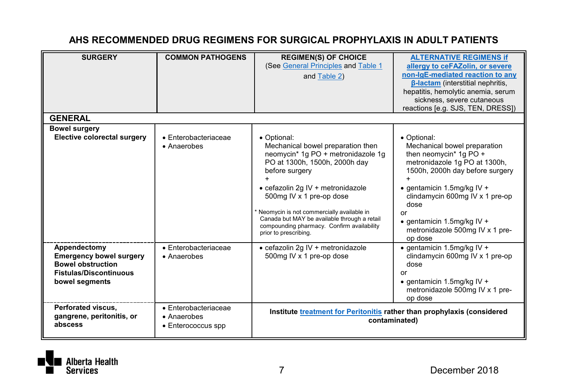| <b>SURGERY</b>                                             | <b>COMMON PATHOGENS</b>                                   | <b>REGIMEN(S) OF CHOICE</b><br>(See General Principles and Table 1<br>and Table 2)                                                                               | <b>ALTERNATIVE REGIMENS if</b><br>allergy to ceFAZolin, or severe<br>non-IgE-mediated reaction to any |
|------------------------------------------------------------|-----------------------------------------------------------|------------------------------------------------------------------------------------------------------------------------------------------------------------------|-------------------------------------------------------------------------------------------------------|
|                                                            |                                                           |                                                                                                                                                                  | <b>B-lactam</b> (interstitial nephritis,<br>hepatitis, hemolytic anemia, serum                        |
|                                                            |                                                           |                                                                                                                                                                  | sickness, severe cutaneous<br>reactions [e.g. SJS, TEN, DRESS])                                       |
| <b>GENERAL</b>                                             |                                                           |                                                                                                                                                                  |                                                                                                       |
| <b>Bowel surgery</b><br>Elective colorectal surgery        | $\bullet$ Enterobacteriaceae<br>• Anaerobes               | • Optional:<br>Mechanical bowel preparation then                                                                                                                 | • Optional:<br>Mechanical bowel preparation                                                           |
|                                                            |                                                           | neomycin* 1g PO + metronidazole 1g<br>PO at 1300h, 1500h, 2000h day<br>before surgery                                                                            | then neomycin* 1g PO +<br>metronidazole 1g PO at 1300h,<br>1500h, 2000h day before surgery            |
|                                                            |                                                           | · cefazolin 2q IV + metronidazole<br>500mg IV x 1 pre-op dose                                                                                                    | $\bullet$ gentamicin 1.5mg/kg IV +<br>clindamycin 600mg IV x 1 pre-op<br>dose                         |
|                                                            |                                                           | Neomycin is not commercially available in<br>Canada but MAY be available through a retail<br>compounding pharmacy. Confirm availability<br>prior to prescribing. | or<br>$\bullet$ gentamicin 1.5mg/kg IV +<br>metronidazole 500mg IV x 1 pre-<br>op dose                |
| Appendectomy<br><b>Emergency bowel surgery</b>             | $\bullet$ Enterobacteriaceae<br>• Anaerobes               | • cefazolin 2g IV + metronidazole<br>500mg IV x 1 pre-op dose                                                                                                    | $\bullet$ gentamicin 1.5mg/kg IV +<br>clindamycin 600mg IV x 1 pre-op                                 |
| <b>Bowel obstruction</b><br><b>Fistulas/Discontinuous</b>  |                                                           |                                                                                                                                                                  | dose<br>or                                                                                            |
| bowel segments                                             |                                                           |                                                                                                                                                                  | $\bullet$ gentamicin 1.5mg/kg IV +<br>metronidazole 500mg IV x 1 pre-<br>op dose                      |
| Perforated viscus.<br>gangrene, peritonitis, or<br>abscess | · Enterobacteriaceae<br>• Anaerobes<br>• Enterococcus spp | Institute treatment for Peritonitis rather than prophylaxis (considered                                                                                          | contaminated)                                                                                         |

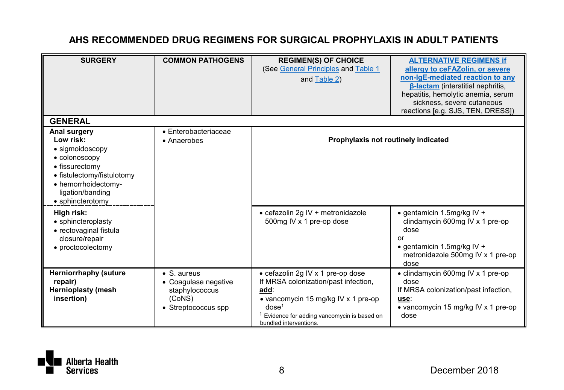| <b>SURGERY</b>                                                                                                                                                               | <b>COMMON PATHOGENS</b>                                                                | <b>REGIMEN(S) OF CHOICE</b><br>(See General Principles and Table 1<br>and Table 2)                                                                                                                                    | <b>ALTERNATIVE REGIMENS if</b><br>allergy to ceFAZolin, or severe<br>non-IgE-mediated reaction to any<br><b>B-lactam</b> (interstitial nephritis,<br>hepatitis, hemolytic anemia, serum<br>sickness, severe cutaneous<br>reactions [e.g. SJS, TEN, DRESS]) |
|------------------------------------------------------------------------------------------------------------------------------------------------------------------------------|----------------------------------------------------------------------------------------|-----------------------------------------------------------------------------------------------------------------------------------------------------------------------------------------------------------------------|------------------------------------------------------------------------------------------------------------------------------------------------------------------------------------------------------------------------------------------------------------|
| <b>GENERAL</b>                                                                                                                                                               |                                                                                        |                                                                                                                                                                                                                       |                                                                                                                                                                                                                                                            |
| Anal surgery<br>Low risk:<br>· sigmoidoscopy<br>• colonoscopy<br>• fissurectomy<br>• fistulectomy/fistulotomy<br>• hemorrhoidectomy-<br>ligation/banding<br>• sphincterotomy | $\bullet$ Enterobacteriaceae<br>• Anaerobes                                            | Prophylaxis not routinely indicated                                                                                                                                                                                   |                                                                                                                                                                                                                                                            |
| High risk:<br>• sphincteroplasty<br>• rectovaginal fistula<br>closure/repair<br>• proctocolectomy                                                                            |                                                                                        | • cefazolin 2g IV + metronidazole<br>500mg IV x 1 pre-op dose                                                                                                                                                         | $\bullet$ gentamicin 1.5mg/kg IV +<br>clindamycin 600mg IV x 1 pre-op<br>dose<br>or<br>$\bullet$ gentamicin 1.5mg/kg IV +<br>metronidazole 500mg IV x 1 pre-op<br>dose                                                                                     |
| <b>Herniorrhaphy (suture</b><br>repair)<br><b>Hernioplasty (mesh</b><br>insertion)                                                                                           | • S. aureus<br>• Coaqulase negative<br>staphylococcus<br>(CoNS)<br>• Streptococcus spp | • cefazolin 2g IV x 1 pre-op dose<br>If MRSA colonization/past infection,<br>add:<br>• vancomycin 15 mg/kg IV x 1 pre-op<br>dose <sup>1</sup><br>Evidence for adding vancomycin is based on<br>bundled interventions. | • clindamycin 600mg IV x 1 pre-op<br>dose<br>If MRSA colonization/past infection,<br>use:<br>• vancomycin 15 mg/kg IV x 1 pre-op<br>dose                                                                                                                   |

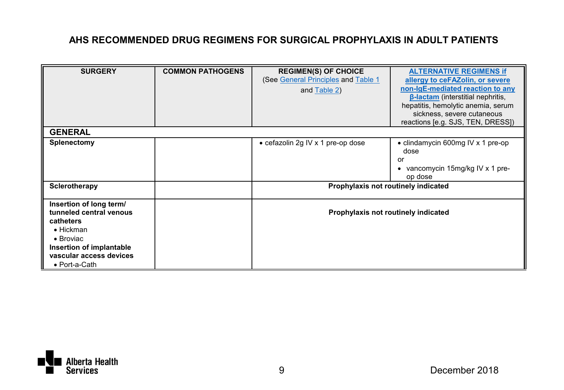| <b>SURGERY</b>                                                                                                                                                                    | <b>COMMON PATHOGENS</b> | <b>REGIMEN(S) OF CHOICE</b><br>(See General Principles and Table 1<br>and Table 2) | <b>ALTERNATIVE REGIMENS if</b><br>allergy to ceFAZolin, or severe<br>non-IgE-mediated reaction to any<br><b>B-lactam</b> (interstitial nephritis,<br>hepatitis, hemolytic anemia, serum<br>sickness, severe cutaneous |
|-----------------------------------------------------------------------------------------------------------------------------------------------------------------------------------|-------------------------|------------------------------------------------------------------------------------|-----------------------------------------------------------------------------------------------------------------------------------------------------------------------------------------------------------------------|
|                                                                                                                                                                                   |                         |                                                                                    | reactions [e.g. SJS, TEN, DRESS])                                                                                                                                                                                     |
| <b>GENERAL</b>                                                                                                                                                                    |                         |                                                                                    |                                                                                                                                                                                                                       |
| Splenectomy                                                                                                                                                                       |                         | • cefazolin 2g IV x 1 pre-op dose                                                  | • clindamycin 600mg IV x 1 pre-op<br>dose<br>or<br>vancomycin 15mg/kg IV x 1 pre-<br>op dose                                                                                                                          |
| Sclerotherapy                                                                                                                                                                     |                         | Prophylaxis not routinely indicated                                                |                                                                                                                                                                                                                       |
| Insertion of long term/<br>tunneled central venous<br>catheters<br>$\bullet$ Hickman<br>$\bullet$ Broviac<br>Insertion of implantable<br>vascular access devices<br>• Port-a-Cath |                         | Prophylaxis not routinely indicated                                                |                                                                                                                                                                                                                       |

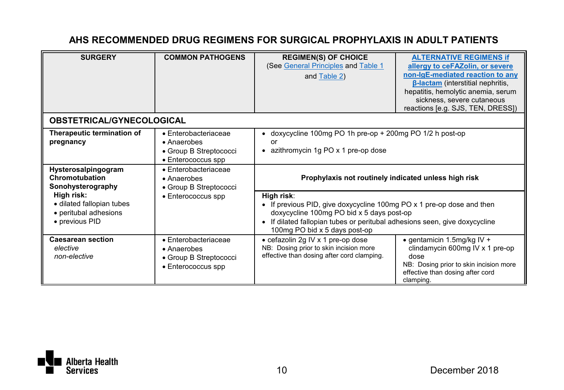| <b>SURGERY</b>                                                                     | <b>COMMON PATHOGENS</b>                                                                     | <b>REGIMEN(S) OF CHOICE</b><br>(See General Principles and Table 1<br>and Table 2)                                                                                                                                                              | <b>ALTERNATIVE REGIMENS if</b><br>allergy to ceFAZolin, or severe<br>non-laE-mediated reaction to any<br><b>B-lactam</b> (interstitial nephritis,<br>hepatitis, hemolytic anemia, serum<br>sickness, severe cutaneous<br>reactions [e.g. SJS, TEN, DRESS]) |
|------------------------------------------------------------------------------------|---------------------------------------------------------------------------------------------|-------------------------------------------------------------------------------------------------------------------------------------------------------------------------------------------------------------------------------------------------|------------------------------------------------------------------------------------------------------------------------------------------------------------------------------------------------------------------------------------------------------------|
| <b>OBSTETRICAL/GYNECOLOGICAL</b>                                                   |                                                                                             |                                                                                                                                                                                                                                                 |                                                                                                                                                                                                                                                            |
| Therapeutic termination of<br>pregnancy                                            | $\bullet$ Enterobacteriaceae<br>• Anaerobes<br>• Group B Streptococci<br>• Enterococcus spp | • doxycycline 100mg PO 1h pre-op + 200mg PO 1/2 h post-op<br>or<br>• azithromycin 1g PO x 1 pre-op dose                                                                                                                                         |                                                                                                                                                                                                                                                            |
| Hysterosalpingogram<br>Chromotubation<br>Sonohysterography                         | $\bullet$ Enterobacteriaceae<br>• Anaerobes<br>• Group B Streptococci                       | Prophylaxis not routinely indicated unless high risk                                                                                                                                                                                            |                                                                                                                                                                                                                                                            |
| High risk:<br>· dilated fallopian tubes<br>• peritubal adhesions<br>• previous PID | • Enterococcus spp                                                                          | High risk:<br>• If previous PID, give doxycycline 100mg PO x 1 pre-op dose and then<br>doxycycline 100mg PO bid x 5 days post-op<br>• If dilated fallopian tubes or peritubal adhesions seen, give doxycycline<br>100mg PO bid x 5 days post-op |                                                                                                                                                                                                                                                            |
| <b>Caesarean section</b><br>elective<br>non-elective                               | $\bullet$ Enterobacteriaceae<br>• Anaerobes<br>• Group B Streptococci<br>• Enterococcus spp | • cefazolin 2g IV x 1 pre-op dose<br>NB: Dosing prior to skin incision more<br>effective than dosing after cord clamping.                                                                                                                       | $\bullet$ gentamicin 1.5mg/kg IV +<br>clindamycin 600mg IV x 1 pre-op<br>dose<br>NB: Dosing prior to skin incision more<br>effective than dosing after cord<br>clamping.                                                                                   |

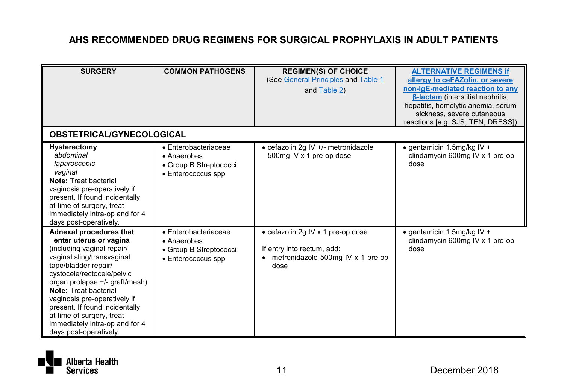| <b>SURGERY</b>                                                                                                                                                                                                                                                                                                                                                                            | <b>COMMON PATHOGENS</b>                                                                     | <b>REGIMEN(S) OF CHOICE</b><br>(See General Principles and Table 1<br>and Table 2)                           | <b>ALTERNATIVE REGIMENS if</b><br>allergy to ceFAZolin, or severe<br>non-IgE-mediated reaction to any<br><b>B-lactam</b> (interstitial nephritis,<br>hepatitis, hemolytic anemia, serum<br>sickness, severe cutaneous |
|-------------------------------------------------------------------------------------------------------------------------------------------------------------------------------------------------------------------------------------------------------------------------------------------------------------------------------------------------------------------------------------------|---------------------------------------------------------------------------------------------|--------------------------------------------------------------------------------------------------------------|-----------------------------------------------------------------------------------------------------------------------------------------------------------------------------------------------------------------------|
| <b>OBSTETRICAL/GYNECOLOGICAL</b>                                                                                                                                                                                                                                                                                                                                                          |                                                                                             |                                                                                                              | reactions [e.g. SJS, TEN, DRESS])                                                                                                                                                                                     |
| Hysterectomy<br>abdominal<br>laparoscopic<br>vaginal<br>Note: Treat bacterial<br>vaginosis pre-operatively if<br>present. If found incidentally<br>at time of surgery, treat<br>immediately intra-op and for 4<br>days post-operatively.                                                                                                                                                  | $\bullet$ Enterobacteriaceae<br>• Anaerobes<br>• Group B Streptococci<br>• Enterococcus spp | • cefazolin 2g IV +/- metronidazole<br>500mg IV x 1 pre-op dose                                              | • gentamicin 1.5mg/kg IV +<br>clindamycin 600mg IV x 1 pre-op<br>dose                                                                                                                                                 |
| Adnexal procedures that<br>enter uterus or vagina<br>(including vaginal repair/<br>vaginal sling/transvaginal<br>tape/bladder repair/<br>cystocele/rectocele/pelvic<br>organ prolapse +/- graft/mesh)<br>Note: Treat bacterial<br>vaginosis pre-operatively if<br>present. If found incidentally<br>at time of surgery, treat<br>immediately intra-op and for 4<br>days post-operatively. | $\bullet$ Enterobacteriaceae<br>• Anaerobes<br>• Group B Streptococci<br>• Enterococcus spp | • cefazolin 2g IV x 1 pre-op dose<br>If entry into rectum, add:<br>metronidazole 500mg IV x 1 pre-op<br>dose | $\bullet$ gentamicin 1.5mg/kg IV +<br>clindamycin 600mg IV x 1 pre-op<br>dose                                                                                                                                         |

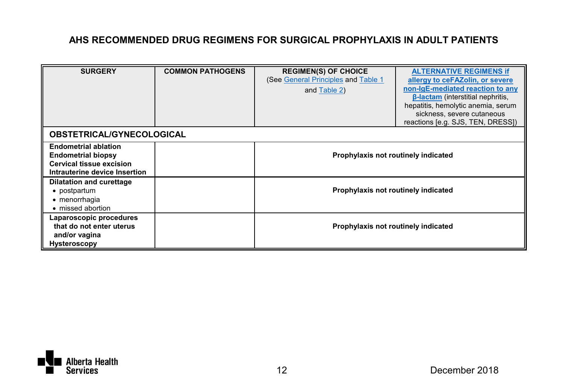| <b>SURGERY</b>                                                                                                        | <b>COMMON PATHOGENS</b> | <b>REGIMEN(S) OF CHOICE</b><br>(See General Principles and Table 1<br>and Table 2) | <b>ALTERNATIVE REGIMENS if</b><br>allergy to ceFAZolin, or severe<br>non-IgE-mediated reaction to any<br><b>B-lactam</b> (interstitial nephritis,<br>hepatitis, hemolytic anemia, serum<br>sickness, severe cutaneous<br>reactions [e.g. SJS, TEN, DRESS]) |
|-----------------------------------------------------------------------------------------------------------------------|-------------------------|------------------------------------------------------------------------------------|------------------------------------------------------------------------------------------------------------------------------------------------------------------------------------------------------------------------------------------------------------|
| <b>OBSTETRICAL/GYNECOLOGICAL</b>                                                                                      |                         |                                                                                    |                                                                                                                                                                                                                                                            |
| <b>Endometrial ablation</b><br><b>Endometrial biopsy</b><br>Cervical tissue excision<br>Intrauterine device Insertion |                         | Prophylaxis not routinely indicated                                                |                                                                                                                                                                                                                                                            |
| <b>Dilatation and curettage</b><br>• postpartum<br>• menorrhagia<br>• missed abortion                                 |                         | Prophylaxis not routinely indicated                                                |                                                                                                                                                                                                                                                            |
| Laparoscopic procedures<br>that do not enter uterus<br>and/or vagina<br>Hysteroscopy                                  |                         | Prophylaxis not routinely indicated                                                |                                                                                                                                                                                                                                                            |

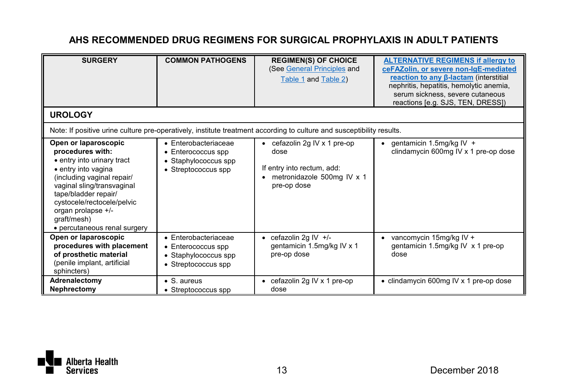| <b>SURGERY</b>                                                                                                                                                                                                                                                                       | <b>COMMON PATHOGENS</b>                                                                           | <b>REGIMEN(S) OF CHOICE</b><br>(See General Principles and<br>Table 1 and Table 2)                                     | <b>ALTERNATIVE REGIMENS if allergy to</b><br>ceFAZolin, or severe non-IgE-mediated<br>reaction to any β-lactam (interstitial<br>nephritis, hepatitis, hemolytic anemia,<br>serum sickness, severe cutaneous<br>reactions [e.g. SJS, TEN, DRESS]) |
|--------------------------------------------------------------------------------------------------------------------------------------------------------------------------------------------------------------------------------------------------------------------------------------|---------------------------------------------------------------------------------------------------|------------------------------------------------------------------------------------------------------------------------|--------------------------------------------------------------------------------------------------------------------------------------------------------------------------------------------------------------------------------------------------|
| <b>UROLOGY</b>                                                                                                                                                                                                                                                                       |                                                                                                   |                                                                                                                        |                                                                                                                                                                                                                                                  |
|                                                                                                                                                                                                                                                                                      |                                                                                                   | Note: If positive urine culture pre-operatively, institute treatment according to culture and susceptibility results.  |                                                                                                                                                                                                                                                  |
| Open or laparoscopic<br>procedures with:<br>• entry into urinary tract<br>· entry into vagina<br>(including vaginal repair/<br>vaginal sling/transvaginal<br>tape/bladder repair/<br>cystocele/rectocele/pelvic<br>organ prolapse +/-<br>graft/mesh)<br>• percutaneous renal surgery | $\bullet$ Enterobacteriaceae<br>• Enterococcus spp<br>• Staphylococcus spp<br>• Streptococcus spp | • cefazolin 2g IV $\times$ 1 pre-op<br>dose<br>If entry into rectum, add:<br>metronidazole 500mg IV x 1<br>pre-op dose | • gentamicin 1.5mg/kg IV +<br>clindamycin 600mg IV x 1 pre-op dose                                                                                                                                                                               |
| Open or laparoscopic<br>procedures with placement<br>of prosthetic material<br>(penile implant, artificial<br>sphincters)                                                                                                                                                            | $\bullet$ Enterobacteriaceae<br>• Enterococcus spp<br>• Staphylococcus spp<br>• Streptococcus spp | cefazolin 2g IV +/-<br>gentamicin 1.5mg/kg IV x 1<br>pre-op dose                                                       | vancomycin 15mg/kg IV +<br>gentamicin 1.5mg/kg IV x 1 pre-op<br>dose                                                                                                                                                                             |
| Adrenalectomy<br>Nephrectomy                                                                                                                                                                                                                                                         | $\bullet$ S. aureus<br>• Streptococcus spp                                                        | cefazolin 2g IV x 1 pre-op<br>dose                                                                                     | • clindamycin 600mg IV x 1 pre-op dose                                                                                                                                                                                                           |

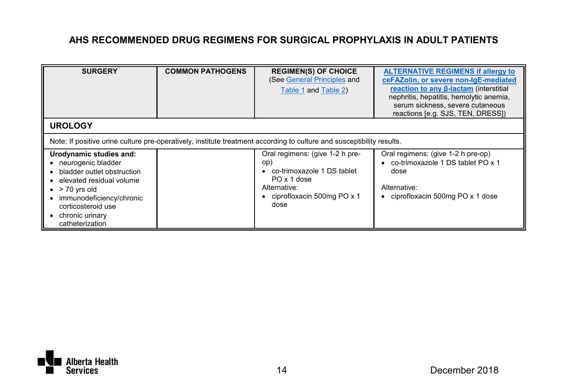| <b>SURGERY</b>                                                                                                                                                                                                              | <b>COMMON PATHOGENS</b> | <b>REGIMEN(S) OF CHOICE</b><br>(See General Principles and<br>Table 1 and Table 2)                                                          | <b>ALTERNATIVE REGIMENS if allergy to</b><br>ceFAZolin, or severe non-IgE-mediated<br>reaction to any β-lactam (interstitial<br>nephritis, hepatitis, hemolytic anemia,<br>serum sickness, severe cutaneous<br>reactions [e.g. SJS, TEN, DRESS]) |
|-----------------------------------------------------------------------------------------------------------------------------------------------------------------------------------------------------------------------------|-------------------------|---------------------------------------------------------------------------------------------------------------------------------------------|--------------------------------------------------------------------------------------------------------------------------------------------------------------------------------------------------------------------------------------------------|
| <b>UROLOGY</b>                                                                                                                                                                                                              |                         |                                                                                                                                             |                                                                                                                                                                                                                                                  |
|                                                                                                                                                                                                                             |                         | Note: If positive urine culture pre-operatively, institute treatment according to culture and susceptibility results.                       |                                                                                                                                                                                                                                                  |
| Urodynamic studies and:<br>• neurogenic bladder<br>bladder outlet obstruction<br>elevated residual volume<br>$\bullet$ > 70 yrs old<br>immunodeficiency/chronic<br>corticosteroid use<br>chronic urinary<br>catheterization |                         | Oral regimens: (give 1-2 h pre-<br>op)<br>co-trimoxazole 1 DS tablet<br>PO x 1 dose<br>Alternative:<br>• ciprofloxacin 500mg PO x 1<br>dose | Oral regimens: (give 1-2 h pre-op)<br>• co-trimoxazole 1 DS tablet PO x 1<br>dose<br>Alternative:<br>• ciprofloxacin 500mg PO x 1 dose                                                                                                           |

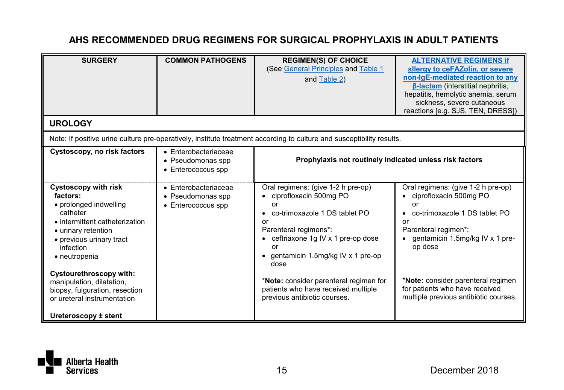| <b>SURGERY</b>                                                                                                                                                                            | <b>COMMON PATHOGENS</b>                                                 | <b>REGIMEN(S) OF CHOICE</b><br>(See General Principles and Table 1<br>and Table 2)                                                                                                                                               | <b>ALTERNATIVE REGIMENS if</b><br>allergy to ceFAZolin, or severe<br>non-IgE-mediated reaction to any<br><b>B-lactam</b> (interstitial nephritis,<br>hepatitis, hemolytic anemia, serum<br>sickness, severe cutaneous<br>reactions [e.g. SJS, TEN, DRESS]) |
|-------------------------------------------------------------------------------------------------------------------------------------------------------------------------------------------|-------------------------------------------------------------------------|----------------------------------------------------------------------------------------------------------------------------------------------------------------------------------------------------------------------------------|------------------------------------------------------------------------------------------------------------------------------------------------------------------------------------------------------------------------------------------------------------|
| <b>UROLOGY</b>                                                                                                                                                                            |                                                                         |                                                                                                                                                                                                                                  |                                                                                                                                                                                                                                                            |
|                                                                                                                                                                                           |                                                                         | Note: If positive urine culture pre-operatively, institute treatment according to culture and susceptibility results.                                                                                                            |                                                                                                                                                                                                                                                            |
| Cystoscopy, no risk factors                                                                                                                                                               | $\bullet$ Enterobacteriaceae<br>• Pseudomonas spp<br>• Enterococcus spp | Prophylaxis not routinely indicated unless risk factors                                                                                                                                                                          |                                                                                                                                                                                                                                                            |
| Cystoscopy with risk<br>factors:<br>• prolonged indwelling<br>catheter<br>• intermittent catheterization<br>• urinary retention<br>• previous urinary tract<br>infection<br>• neutropenia | $\bullet$ Enterobacteriaceae<br>• Pseudomonas spp<br>• Enterococcus spp | Oral regimens: (give 1-2 h pre-op)<br>• ciprofloxacin 500mg PO<br>or<br>co-trimoxazole 1 DS tablet PO<br>or<br>Parenteral regimens*:<br>• ceftriaxone 1g IV x 1 pre-op dose<br>or<br>• gentamicin 1.5mg/kg IV x 1 pre-op<br>dose | Oral regimens: (give 1-2 h pre-op)<br>• ciprofloxacin 500mg PO<br>or<br>co-trimoxazole 1 DS tablet PO<br>or<br>Parenteral regimen*:<br>gentamicin 1.5mg/kg IV x 1 pre-<br>op dose                                                                          |
| Cystourethroscopy with:<br>manipulation, dilatation,<br>biopsy, fulguration, resection<br>or ureteral instrumentation<br>Ureteroscopy ± stent                                             |                                                                         | *Note: consider parenteral regimen for<br>patients who have received multiple<br>previous antibiotic courses.                                                                                                                    | *Note: consider parenteral regimen<br>for patients who have received<br>multiple previous antibiotic courses.                                                                                                                                              |

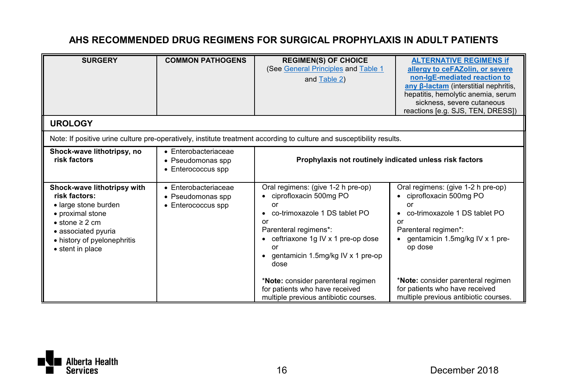| <b>SURGERY</b>                                                                                                                                                                                    | <b>COMMON PATHOGENS</b>                                                 | <b>REGIMEN(S) OF CHOICE</b><br>(See General Principles and Table 1<br>and Table 2)                                                                                                                                              | <b>ALTERNATIVE REGIMENS if</b><br>allergy to ceFAZolin, or severe<br>non-IgE-mediated reaction to<br>any B-lactam (interstitial nephritis,<br>hepatitis, hemolytic anemia, serum<br>sickness, severe cutaneous<br>reactions [e.g. SJS, TEN, DRESS]) |
|---------------------------------------------------------------------------------------------------------------------------------------------------------------------------------------------------|-------------------------------------------------------------------------|---------------------------------------------------------------------------------------------------------------------------------------------------------------------------------------------------------------------------------|-----------------------------------------------------------------------------------------------------------------------------------------------------------------------------------------------------------------------------------------------------|
| <b>UROLOGY</b>                                                                                                                                                                                    |                                                                         |                                                                                                                                                                                                                                 |                                                                                                                                                                                                                                                     |
|                                                                                                                                                                                                   |                                                                         | Note: If positive urine culture pre-operatively, institute treatment according to culture and susceptibility results.                                                                                                           |                                                                                                                                                                                                                                                     |
| Shock-wave lithotripsy, no<br>risk factors                                                                                                                                                        | · Enterobacteriaceae<br>• Pseudomonas spp<br>• Enterococcus spp         | Prophylaxis not routinely indicated unless risk factors                                                                                                                                                                         |                                                                                                                                                                                                                                                     |
| Shock-wave lithotripsy with<br>risk factors:<br>· large stone burden<br>• proximal stone<br>$\bullet$ stone $\geq 2$ cm<br>· associated pyuria<br>• history of pyelonephritis<br>• stent in place | $\bullet$ Enterobacteriaceae<br>• Pseudomonas spp<br>• Enterococcus spp | Oral regimens: (give 1-2 h pre-op)<br>ciprofloxacin 500mg PO<br>or<br>co-trimoxazole 1 DS tablet PO<br>٠<br>or<br>Parenteral regimens*:<br>ceftriaxone 1g IV x 1 pre-op dose<br>or<br>gentamicin 1.5mg/kg IV x 1 pre-op<br>dose | Oral regimens: (give 1-2 h pre-op)<br>ciprofloxacin 500mg PO<br>co-trimoxazole 1 DS tablet PO<br>or<br>Parenteral regimen*:<br>gentamicin 1.5mg/kg IV x 1 pre-<br>op dose                                                                           |
|                                                                                                                                                                                                   |                                                                         | *Note: consider parenteral regimen<br>for patients who have received<br>multiple previous antibiotic courses.                                                                                                                   | *Note: consider parenteral regimen<br>for patients who have received<br>multiple previous antibiotic courses.                                                                                                                                       |

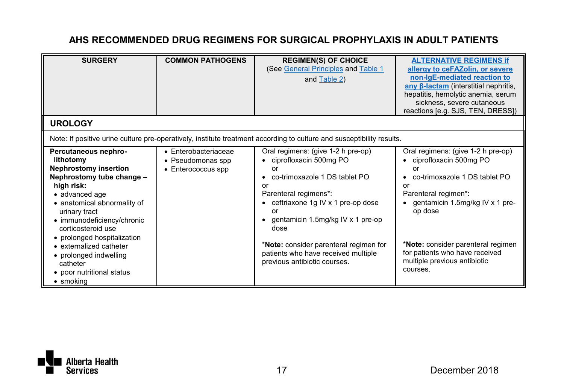| <b>SURGERY</b>                                                                                                                                                                                                                                                    | <b>COMMON PATHOGENS</b>                                                 | <b>REGIMEN(S) OF CHOICE</b><br>(See General Principles and Table 1<br>and Table 2)                                                                                                                                               | <b>ALTERNATIVE REGIMENS If</b><br>allergy to ceFAZolin, or severe<br>non-IgE-mediated reaction to<br>any B-lactam (interstitial nephritis,<br>hepatitis, hemolytic anemia, serum<br>sickness, severe cutaneous<br>reactions [e.g. SJS, TEN, DRESS]) |
|-------------------------------------------------------------------------------------------------------------------------------------------------------------------------------------------------------------------------------------------------------------------|-------------------------------------------------------------------------|----------------------------------------------------------------------------------------------------------------------------------------------------------------------------------------------------------------------------------|-----------------------------------------------------------------------------------------------------------------------------------------------------------------------------------------------------------------------------------------------------|
| <b>UROLOGY</b>                                                                                                                                                                                                                                                    |                                                                         |                                                                                                                                                                                                                                  |                                                                                                                                                                                                                                                     |
|                                                                                                                                                                                                                                                                   |                                                                         | Note: If positive urine culture pre-operatively, institute treatment according to culture and susceptibility results.                                                                                                            |                                                                                                                                                                                                                                                     |
| Percutaneous nephro-<br>lithotomy<br><b>Nephrostomy insertion</b><br>Nephrostomy tube change -<br>high risk:<br>· advanced age<br>• anatomical abnormality of<br>urinary tract<br>• immunodeficiency/chronic<br>corticosteroid use<br>• prolonged hospitalization | $\bullet$ Enterobacteriaceae<br>• Pseudomonas spp<br>• Enterococcus spp | Oral regimens: (give 1-2 h pre-op)<br>• ciprofloxacin 500mg PO<br>or<br>co-trimoxazole 1 DS tablet PO<br>or<br>Parenteral regimens*:<br>• ceftriaxone 1g IV x 1 pre-op dose<br>or<br>• gentamicin 1.5mg/kg IV x 1 pre-op<br>dose | Oral regimens: (give 1-2 h pre-op)<br>• ciprofloxacin 500mg PO<br>or<br>co-trimoxazole 1 DS tablet PO<br>or<br>Parenteral regimen*:<br>gentamicin 1.5mg/kg IV x 1 pre-<br>op dose                                                                   |
| • externalized catheter<br>• prolonged indwelling<br>catheter<br>• poor nutritional status<br>• smoking                                                                                                                                                           |                                                                         | *Note: consider parenteral regimen for<br>patients who have received multiple<br>previous antibiotic courses.                                                                                                                    | *Note: consider parenteral regimen<br>for patients who have received<br>multiple previous antibiotic<br>courses.                                                                                                                                    |

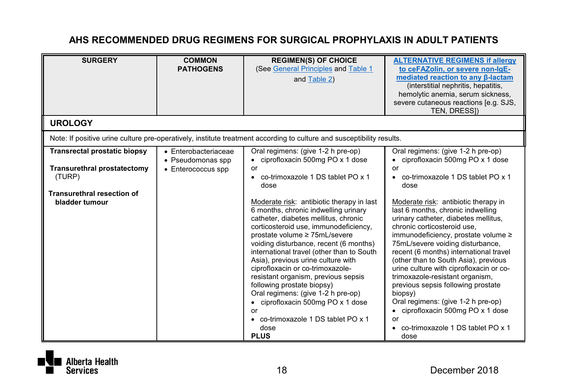| <b>SURGERY</b><br><b>UROLOGY</b>                                                                                                           | <b>COMMON</b><br><b>PATHOGENS</b>                                       | <b>REGIMEN(S) OF CHOICE</b><br>(See General Principles and Table 1<br>and Table 2)                                                                                                                                                                                                                                                                                                                                                                                                                                                                                                                                                                                                                                     | <b>ALTERNATIVE REGIMENS if allergy</b><br>to ceFAZolin, or severe non-IgE-<br>mediated reaction to any <b>B-lactam</b><br>(interstitial nephritis, hepatitis,<br>hemolytic anemia, serum sickness,<br>severe cutaneous reactions [e.g. SJS,<br>TEN, DRESSI)                                                                                                                                                                                                                                                                                                                                                                                                                                                |
|--------------------------------------------------------------------------------------------------------------------------------------------|-------------------------------------------------------------------------|------------------------------------------------------------------------------------------------------------------------------------------------------------------------------------------------------------------------------------------------------------------------------------------------------------------------------------------------------------------------------------------------------------------------------------------------------------------------------------------------------------------------------------------------------------------------------------------------------------------------------------------------------------------------------------------------------------------------|------------------------------------------------------------------------------------------------------------------------------------------------------------------------------------------------------------------------------------------------------------------------------------------------------------------------------------------------------------------------------------------------------------------------------------------------------------------------------------------------------------------------------------------------------------------------------------------------------------------------------------------------------------------------------------------------------------|
|                                                                                                                                            |                                                                         | Note: If positive urine culture pre-operatively, institute treatment according to culture and susceptibility results.                                                                                                                                                                                                                                                                                                                                                                                                                                                                                                                                                                                                  |                                                                                                                                                                                                                                                                                                                                                                                                                                                                                                                                                                                                                                                                                                            |
| <b>Transrectal prostatic biopsy</b><br><b>Transurethral prostatectomy</b><br>(TURP)<br><b>Transurethral resection of</b><br>bladder tumour | $\bullet$ Enterobacteriaceae<br>• Pseudomonas spp<br>• Enterococcus spp | Oral regimens: (give 1-2 h pre-op)<br>• ciprofloxacin 500mg PO x 1 dose<br>or<br>co-trimoxazole 1 DS tablet PO x 1<br>dose<br>Moderate risk: antibiotic therapy in last<br>6 months, chronic indwelling urinary<br>catheter, diabetes mellitus, chronic<br>corticosteroid use, immunodeficiency,<br>prostate volume ≥ 75mL/severe<br>voiding disturbance, recent (6 months)<br>international travel (other than to South<br>Asia), previous urine culture with<br>ciprofloxacin or co-trimoxazole-<br>resistant organism, previous sepsis<br>following prostate biopsy)<br>Oral regimens: (give 1-2 h pre-op)<br>• ciprofloxacin 500mg PO x 1 dose<br>or<br>• co-trimoxazole 1 DS tablet PO x 1<br>dose<br><b>PLUS</b> | Oral regimens: (give 1-2 h pre-op)<br>• ciprofloxacin 500mg PO x 1 dose<br>or<br>co-trimoxazole 1 DS tablet PO x 1<br>dose<br>Moderate risk: antibiotic therapy in<br>last 6 months, chronic indwelling<br>urinary catheter, diabetes mellitus,<br>chronic corticosteroid use.<br>immunodeficiency, prostate volume ≥<br>75mL/severe voiding disturbance,<br>recent (6 months) international travel<br>(other than to South Asia), previous<br>urine culture with ciprofloxacin or co-<br>trimoxazole-resistant organism,<br>previous sepsis following prostate<br>biopsy)<br>Oral regimens: (give 1-2 h pre-op)<br>• ciprofloxacin 500mg PO x 1 dose<br>or<br>• co-trimoxazole 1 DS tablet PO x 1<br>dose |

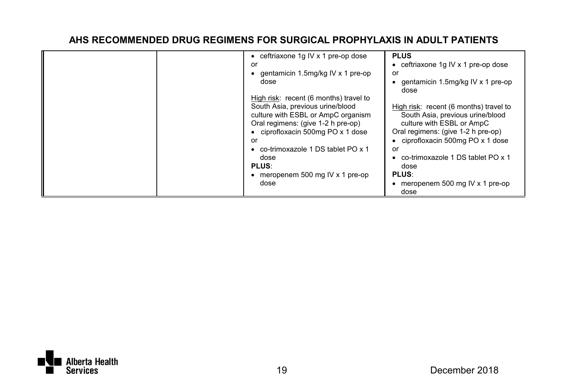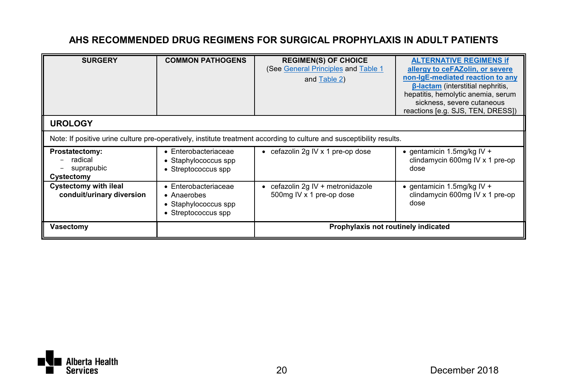| <b>SURGERY</b>                                        | <b>COMMON PATHOGENS</b>                                                                    | <b>REGIMEN(S) OF CHOICE</b><br>(See General Principles and Table 1<br>and Table 2)                                    | <b>ALTERNATIVE REGIMENS if</b><br>allergy to ceFAZolin, or severe<br>non-IgE-mediated reaction to any<br><b>B-lactam</b> (interstitial nephritis,<br>hepatitis, hemolytic anemia, serum<br>sickness, severe cutaneous<br>reactions [e.g. SJS, TEN, DRESS]) |
|-------------------------------------------------------|--------------------------------------------------------------------------------------------|-----------------------------------------------------------------------------------------------------------------------|------------------------------------------------------------------------------------------------------------------------------------------------------------------------------------------------------------------------------------------------------------|
| <b>UROLOGY</b>                                        |                                                                                            |                                                                                                                       |                                                                                                                                                                                                                                                            |
|                                                       |                                                                                            | Note: If positive urine culture pre-operatively, institute treatment according to culture and susceptibility results. |                                                                                                                                                                                                                                                            |
| Prostatectomy:<br>radical<br>suprapubic<br>Cystectomy | $\bullet$ Enterobacteriaceae<br>• Staphylococcus spp<br>• Streptococcus spp                | • cefazolin 2g IV x 1 pre-op dose                                                                                     | $\bullet$ gentamicin 1.5mg/kg IV +<br>clindamycin 600mg IV x 1 pre-op<br>dose                                                                                                                                                                              |
| Cystectomy with ileal<br>conduit/urinary diversion    | $\bullet$ Enterobacteriaceae<br>• Anaerobes<br>• Staphylococcus spp<br>• Streptococcus spp | cefazolin 2g IV + metronidazole<br>500mg IV x 1 pre-op dose                                                           | $\bullet$ gentamicin 1.5mg/kg IV +<br>clindamycin 600mg IV x 1 pre-op<br>dose                                                                                                                                                                              |
| Vasectomy                                             |                                                                                            | Prophylaxis not routinely indicated                                                                                   |                                                                                                                                                                                                                                                            |

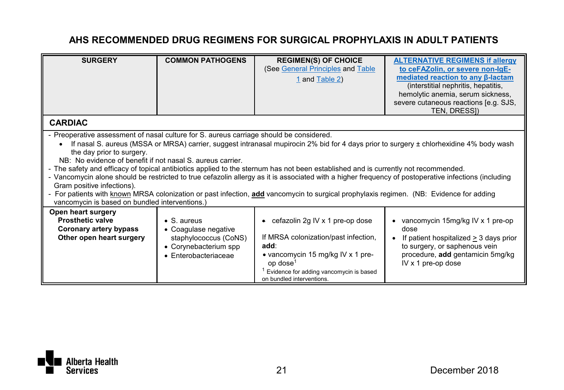| <b>SURGERY</b>                                                                                                                                                                                                                                                                                                                                                                                                                                                                                                                                                                                                                                                                                                                                                                                                                                         | <b>COMMON PATHOGENS</b>                                                                                               | <b>REGIMEN(S) OF CHOICE</b><br>(See General Principles and Table<br>1 and Table 2)                                                                                                                                                          | <b>ALTERNATIVE REGIMENS if allergy</b><br>to ceFAZolin, or severe non-lgE-<br>mediated reaction to any <b>B-lactam</b><br>(interstitial nephritis, hepatitis,<br>hemolytic anemia, serum sickness,<br>severe cutaneous reactions [e.g. SJS,<br>TEN, DRESSI) |
|--------------------------------------------------------------------------------------------------------------------------------------------------------------------------------------------------------------------------------------------------------------------------------------------------------------------------------------------------------------------------------------------------------------------------------------------------------------------------------------------------------------------------------------------------------------------------------------------------------------------------------------------------------------------------------------------------------------------------------------------------------------------------------------------------------------------------------------------------------|-----------------------------------------------------------------------------------------------------------------------|---------------------------------------------------------------------------------------------------------------------------------------------------------------------------------------------------------------------------------------------|-------------------------------------------------------------------------------------------------------------------------------------------------------------------------------------------------------------------------------------------------------------|
| <b>CARDIAC</b>                                                                                                                                                                                                                                                                                                                                                                                                                                                                                                                                                                                                                                                                                                                                                                                                                                         |                                                                                                                       |                                                                                                                                                                                                                                             |                                                                                                                                                                                                                                                             |
| - Preoperative assessment of nasal culture for S. aureus carriage should be considered.<br>If nasal S. aureus (MSSA or MRSA) carrier, suggest intranasal mupirocin 2% bid for 4 days prior to surgery ± chlorhexidine 4% body wash<br>the day prior to surgery.<br>NB: No evidence of benefit if not nasal S, aureus carrier.<br>- The safety and efficacy of topical antibiotics applied to the sternum has not been established and is currently not recommended.<br>- Vancomycin alone should be restricted to true cefazolin allergy as it is associated with a higher frequency of postoperative infections (including<br>Gram positive infections).<br>- For patients with known MRSA colonization or past infection, add vancomycin to surgical prophylaxis regimen. (NB: Evidence for adding<br>vancomycin is based on bundled interventions.) |                                                                                                                       |                                                                                                                                                                                                                                             |                                                                                                                                                                                                                                                             |
| Open heart surgery<br><b>Prosthetic valve</b><br>Coronary artery bypass<br>Other open heart surgery                                                                                                                                                                                                                                                                                                                                                                                                                                                                                                                                                                                                                                                                                                                                                    | $\bullet$ S. aureus<br>• Coaqulase negative<br>staphylococcus (CoNS)<br>• Corynebacterium spp<br>• Enterobacteriaceae | $\bullet$ cefazolin 2q IV x 1 pre-op dose<br>If MRSA colonization/past infection,<br>add:<br>• vancomycin 15 mg/kg IV x 1 pre-<br>op dose <sup>1</sup><br><sup>1</sup> Evidence for adding vancomycin is based<br>on bundled interventions. | vancomycin 15mg/kg IV x 1 pre-op<br>dose<br>If patient hospitalized > 3 days prior<br>$\bullet$<br>to surgery, or saphenous vein<br>procedure, add gentamicin 5mg/kg<br>IV x 1 pre-op dose                                                                  |

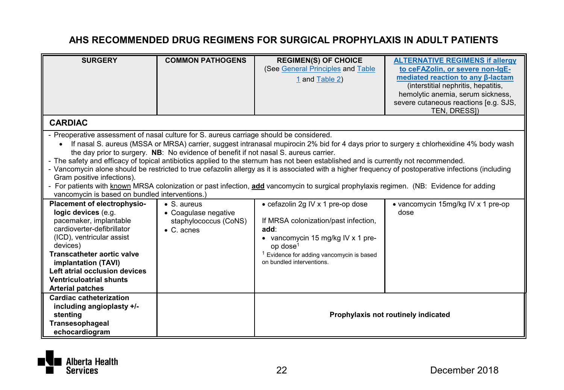| <b>SURGERY</b>                                                                          | <b>COMMON PATHOGENS</b>                                                                                                                 | <b>REGIMEN(S) OF CHOICE</b><br>(See General Principles and Table                                                                                                                                                                                                                           | <b>ALTERNATIVE REGIMENS if allergy</b><br>to ceFAZolin, or severe non-lgE- |
|-----------------------------------------------------------------------------------------|-----------------------------------------------------------------------------------------------------------------------------------------|--------------------------------------------------------------------------------------------------------------------------------------------------------------------------------------------------------------------------------------------------------------------------------------------|----------------------------------------------------------------------------|
|                                                                                         |                                                                                                                                         | 1 and Table 2)                                                                                                                                                                                                                                                                             | mediated reaction to any B-lactam                                          |
|                                                                                         |                                                                                                                                         |                                                                                                                                                                                                                                                                                            | (interstitial nephritis, hepatitis,<br>hemolytic anemia, serum sickness,   |
|                                                                                         |                                                                                                                                         |                                                                                                                                                                                                                                                                                            | severe cutaneous reactions [e.g. SJS,                                      |
|                                                                                         |                                                                                                                                         |                                                                                                                                                                                                                                                                                            | TEN, DRESSI)                                                               |
| <b>CARDIAC</b>                                                                          |                                                                                                                                         |                                                                                                                                                                                                                                                                                            |                                                                            |
| - Preoperative assessment of nasal culture for S. aureus carriage should be considered. |                                                                                                                                         |                                                                                                                                                                                                                                                                                            |                                                                            |
|                                                                                         |                                                                                                                                         | If nasal S. aureus (MSSA or MRSA) carrier, suggest intranasal mupirocin 2% bid for 4 days prior to surgery ± chlorhexidine 4% body wash                                                                                                                                                    |                                                                            |
|                                                                                         | the day prior to surgery. NB: No evidence of benefit if not nasal S. aureus carrier.                                                    |                                                                                                                                                                                                                                                                                            |                                                                            |
|                                                                                         |                                                                                                                                         | - The safety and efficacy of topical antibiotics applied to the sternum has not been established and is currently not recommended.<br>- Vancomycin alone should be restricted to true cefazolin allergy as it is associated with a higher frequency of postoperative infections (including |                                                                            |
| Gram positive infections).                                                              |                                                                                                                                         |                                                                                                                                                                                                                                                                                            |                                                                            |
|                                                                                         | - For patients with known MRSA colonization or past infection, add vancomycin to surgical prophylaxis regimen. (NB: Evidence for adding |                                                                                                                                                                                                                                                                                            |                                                                            |
| vancomycin is based on bundled interventions.)                                          |                                                                                                                                         |                                                                                                                                                                                                                                                                                            |                                                                            |
| Placement of electrophysio-                                                             | $\bullet$ S. aureus                                                                                                                     | • cefazolin 2g IV x 1 pre-op dose                                                                                                                                                                                                                                                          | • vancomycin 15mg/kg IV x 1 pre-op                                         |
| logic devices (e.g.                                                                     | • Coaqulase negative                                                                                                                    |                                                                                                                                                                                                                                                                                            | dose                                                                       |
| pacemaker, implantable<br>cardioverter-defibrillator                                    | staphylococcus (CoNS)                                                                                                                   | If MRSA colonization/past infection,                                                                                                                                                                                                                                                       |                                                                            |
| (ICD), ventricular assist                                                               | $\bullet$ C. acnes                                                                                                                      | add:<br>• vancomycin 15 mg/kg IV x 1 pre-                                                                                                                                                                                                                                                  |                                                                            |
| devices)                                                                                |                                                                                                                                         | op dose <sup>1</sup>                                                                                                                                                                                                                                                                       |                                                                            |
| <b>Transcatheter aortic valve</b>                                                       |                                                                                                                                         | <sup>1</sup> Evidence for adding vancomvcin is based                                                                                                                                                                                                                                       |                                                                            |
| implantation (TAVI)                                                                     |                                                                                                                                         | on bundled interventions.                                                                                                                                                                                                                                                                  |                                                                            |
| Left atrial occlusion devices                                                           |                                                                                                                                         |                                                                                                                                                                                                                                                                                            |                                                                            |
| <b>Ventriculoatrial shunts</b>                                                          |                                                                                                                                         |                                                                                                                                                                                                                                                                                            |                                                                            |
| <b>Arterial patches</b>                                                                 |                                                                                                                                         |                                                                                                                                                                                                                                                                                            |                                                                            |
| Cardiac catheterization<br>including angioplasty +/-                                    |                                                                                                                                         |                                                                                                                                                                                                                                                                                            |                                                                            |
| stentina                                                                                |                                                                                                                                         |                                                                                                                                                                                                                                                                                            | Prophylaxis not routinely indicated                                        |
| Transesophageal                                                                         |                                                                                                                                         |                                                                                                                                                                                                                                                                                            |                                                                            |
| echocardiogram                                                                          |                                                                                                                                         |                                                                                                                                                                                                                                                                                            |                                                                            |

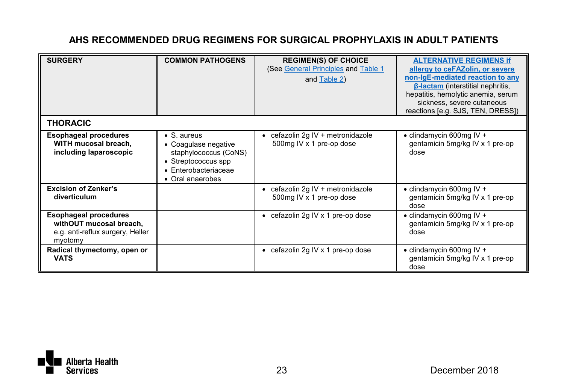| <b>SURGERY</b>                                                                                         | <b>COMMON PATHOGENS</b>                                                                                                                 | <b>REGIMEN(S) OF CHOICE</b><br>(See General Principles and Table 1<br>and Table 2) | <b>ALTERNATIVE REGIMENS if</b><br>allergy to ceFAZolin, or severe<br>non-IgE-mediated reaction to any<br><b>B-lactam</b> (interstitial nephritis,<br>hepatitis, hemolytic anemia, serum<br>sickness, severe cutaneous<br>reactions [e.g. SJS, TEN, DRESS]) |
|--------------------------------------------------------------------------------------------------------|-----------------------------------------------------------------------------------------------------------------------------------------|------------------------------------------------------------------------------------|------------------------------------------------------------------------------------------------------------------------------------------------------------------------------------------------------------------------------------------------------------|
| <b>THORACIC</b>                                                                                        |                                                                                                                                         |                                                                                    |                                                                                                                                                                                                                                                            |
| <b>Esophageal procedures</b><br>WITH mucosal breach,<br>including laparoscopic                         | $\bullet$ S. aureus<br>• Coagulase negative<br>staphylococcus (CoNS)<br>• Streptococcus spp<br>• Enterobacteriaceae<br>• Oral anaerobes | cefazolin 2g IV + metronidazole<br>500mg IV x 1 pre-op dose                        | • clindamycin 600mg IV +<br>gentamicin 5mg/kg IV x 1 pre-op<br>dose                                                                                                                                                                                        |
| <b>Excision of Zenker's</b><br>diverticulum                                                            |                                                                                                                                         | • cefazolin 2g IV + metronidazole<br>500mg IV x 1 pre-op dose                      | $\bullet$ clindamycin 600mg IV +<br>gentamicin 5mg/kg IV x 1 pre-op<br>dose                                                                                                                                                                                |
| <b>Esophageal procedures</b><br>withOUT mucosal breach,<br>e.g. anti-reflux surgery, Heller<br>myotomy |                                                                                                                                         | • cefazolin 2q IV x 1 pre-op dose                                                  | $\bullet$ clindamycin 600mg IV +<br>gentamicin 5mg/kg IV x 1 pre-op<br>dose                                                                                                                                                                                |
| Radical thymectomy, open or<br><b>VATS</b>                                                             |                                                                                                                                         | • cefazolin 2q IV x 1 pre-op dose                                                  | • clindamycin 600mg IV +<br>gentamicin 5mg/kg IV x 1 pre-op<br>dose                                                                                                                                                                                        |

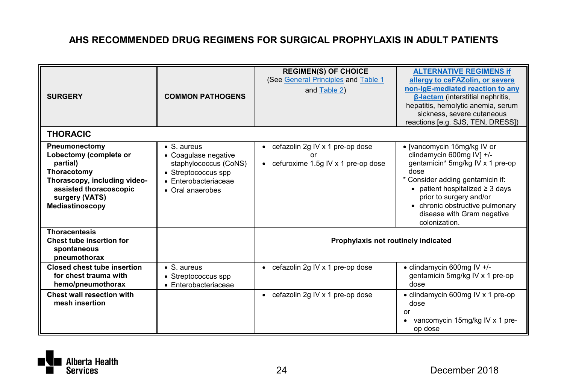| <b>SURGERY</b><br><b>THORACIC</b>                                                                                                                                 | <b>COMMON PATHOGENS</b>                                                                                                                         | <b>REGIMEN(S) OF CHOICE</b><br>(See General Principles and Table 1<br>and Table 2) | <b>ALTERNATIVE REGIMENS if</b><br>allergy to ceFAZolin, or severe<br>non-IgE-mediated reaction to any<br><b>B-lactam</b> (interstitial nephritis,<br>hepatitis, hemolytic anemia, serum<br>sickness, severe cutaneous<br>reactions [e.g. SJS, TEN, DRESS])                                            |
|-------------------------------------------------------------------------------------------------------------------------------------------------------------------|-------------------------------------------------------------------------------------------------------------------------------------------------|------------------------------------------------------------------------------------|-------------------------------------------------------------------------------------------------------------------------------------------------------------------------------------------------------------------------------------------------------------------------------------------------------|
| Pneumonectomy<br>Lobectomy (complete or<br>partial)<br>Thoracotomy<br>Thorascopy, including video-<br>assisted thoracoscopic<br>surgery (VATS)<br>Mediastinoscopy | $\bullet$ S. aureus<br>• Coaqulase negative<br>staphylococcus (CoNS)<br>• Streptococcus spp<br>$\bullet$ Enterobacteriaceae<br>• Oral anaerobes | • cefazolin 2g IV x 1 pre-op dose<br>• cefuroxime 1.5g IV x 1 pre-op dose          | • [vancomycin 15mg/kg IV or<br>clindamycin 600mg IV] +/-<br>gentamicin* 5mg/kg IV x 1 pre-op<br>dose<br>* Consider adding gentamicin if:<br>$\bullet$ patient hospitalized $\geq 3$ days<br>prior to surgery and/or<br>• chronic obstructive pulmonary<br>disease with Gram negative<br>colonization. |
| <b>Thoracentesis</b><br>Chest tube insertion for<br>spontaneous<br>pneumothorax                                                                                   |                                                                                                                                                 | Prophylaxis not routinely indicated                                                |                                                                                                                                                                                                                                                                                                       |
| <b>Closed chest tube insertion</b><br>for chest trauma with<br>hemo/pneumothorax                                                                                  | $\bullet$ S. aureus<br>• Streptococcus spp<br>• Enterobacteriaceae                                                                              | • cefazolin 2g IV x 1 pre-op dose                                                  | • clindamycin 600mg IV +/-<br>gentamicin 5mg/kg IV x 1 pre-op<br>dose                                                                                                                                                                                                                                 |
| Chest wall resection with<br>mesh insertion                                                                                                                       |                                                                                                                                                 | • cefazolin 2g IV x 1 pre-op dose                                                  | • clindamycin 600mg IV x 1 pre-op<br>dose<br>or<br>vancomycin 15mg/kg IV x 1 pre-<br>op dose                                                                                                                                                                                                          |

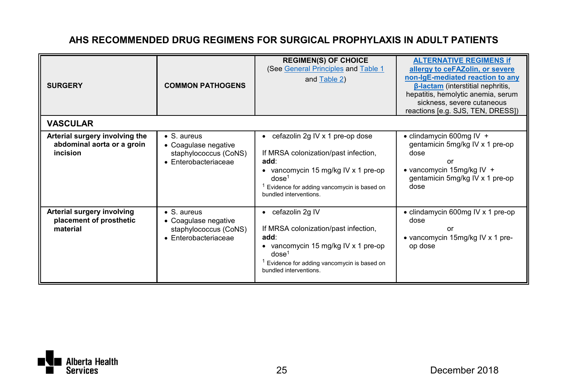| <b>SURGERY</b>                                                           | <b>COMMON PATHOGENS</b>                                                                      | <b>REGIMEN(S) OF CHOICE</b><br>(See General Principles and Table 1<br>and Table 2)                                                                                                                                    | <b>ALTERNATIVE REGIMENS if</b><br>allergy to ceFAZolin, or severe<br>non-IgE-mediated reaction to any<br><b>B-lactam</b> (interstitial nephritis,<br>hepatitis, hemolytic anemia, serum<br>sickness, severe cutaneous<br>reactions [e.g. SJS, TEN, DRESS]) |
|--------------------------------------------------------------------------|----------------------------------------------------------------------------------------------|-----------------------------------------------------------------------------------------------------------------------------------------------------------------------------------------------------------------------|------------------------------------------------------------------------------------------------------------------------------------------------------------------------------------------------------------------------------------------------------------|
| <b>VASCULAR</b>                                                          |                                                                                              |                                                                                                                                                                                                                       |                                                                                                                                                                                                                                                            |
| Arterial surgery involving the<br>abdominal aorta or a groin<br>incision | $\bullet$ S. aureus<br>• Coagulase negative<br>staphylococcus (CoNS)<br>· Enterobacteriaceae | • cefazolin 2g IV x 1 pre-op dose<br>If MRSA colonization/past infection,<br>add:<br>• vancomycin 15 mg/kg IV x 1 pre-op<br>dose <sup>1</sup><br>Evidence for adding vancomycin is based on<br>bundled interventions. | $\bullet$ clindamycin 600mg IV +<br>gentamicin 5mg/kg IV x 1 pre-op<br>dose<br>nr<br>$\bullet$ vancomycin 15mg/kg IV +<br>gentamicin 5mg/kg IV x 1 pre-op<br>dose                                                                                          |
| Arterial surgery involving<br>placement of prosthetic<br>material        | $\bullet$ S. aureus<br>• Coaqulase negative<br>staphylococcus (CoNS)<br>· Enterobacteriaceae | • cefazolin 2g IV<br>If MRSA colonization/past infection,<br>add:<br>• vancomycin 15 mg/kg IV x 1 pre-op<br>dose <sup>1</sup><br>Evidence for adding vancomycin is based on<br>bundled interventions.                 | • clindamycin 600mg IV x 1 pre-op<br>dose<br>or<br>• vancomycin 15mg/kg IV x 1 pre-<br>op dose                                                                                                                                                             |

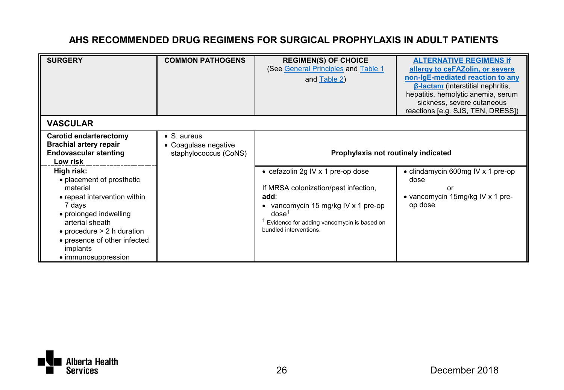| <b>SURGERY</b>                                                                                                                                                                                                                                        | <b>COMMON PATHOGENS</b>                                              | <b>REGIMEN(S) OF CHOICE</b><br>(See General Principles and Table 1<br>and Table 2)                                                                                                                                       | <b>ALTERNATIVE REGIMENS if</b><br>allergy to ceFAZolin, or severe<br>non-IgE-mediated reaction to any<br><b>B-lactam</b> (interstitial nephritis,<br>hepatitis, hemolytic anemia, serum<br>sickness, severe cutaneous<br>reactions [e.g. SJS, TEN, DRESS]) |
|-------------------------------------------------------------------------------------------------------------------------------------------------------------------------------------------------------------------------------------------------------|----------------------------------------------------------------------|--------------------------------------------------------------------------------------------------------------------------------------------------------------------------------------------------------------------------|------------------------------------------------------------------------------------------------------------------------------------------------------------------------------------------------------------------------------------------------------------|
| <b>VASCULAR</b>                                                                                                                                                                                                                                       |                                                                      |                                                                                                                                                                                                                          |                                                                                                                                                                                                                                                            |
| Carotid endarterectomy<br><b>Brachial artery repair</b><br><b>Endovascular stenting</b><br>Low risk                                                                                                                                                   | $\bullet$ S. aureus<br>• Coaqulase negative<br>staphylococcus (CoNS) | Prophylaxis not routinely indicated                                                                                                                                                                                      |                                                                                                                                                                                                                                                            |
| High risk:<br>• placement of prosthetic<br>material<br>• repeat intervention within<br>7 days<br>• prolonged indwelling<br>arterial sheath<br>$\bullet$ procedure $> 2$ h duration<br>• presence of other infected<br>implants<br>• immunosuppression |                                                                      | • cefazolin 2g IV x 1 pre-op dose<br>If MRSA colonization/past infection,<br>add:<br>• vancomycin 15 mg/kg IV x 1 pre-op<br>$d$ nse <sup>1</sup><br>Evidence for adding vancomycin is based on<br>bundled interventions. | • clindamycin 600mg IV x 1 pre-op<br>dose<br>or<br>• vancomycin 15mg/kg IV x 1 pre-<br>op dose                                                                                                                                                             |

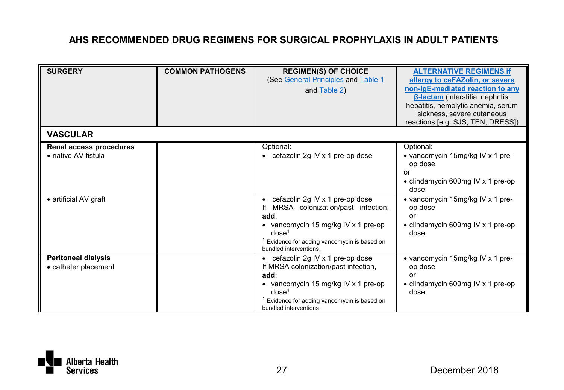| <b>SURGERY</b>                                                          | <b>COMMON PATHOGENS</b> | <b>REGIMEN(S) OF CHOICE</b><br>(See General Principles and Table 1<br>and Table 2)                                                                                                                                                         | <b>ALTERNATIVE REGIMENS if</b><br>allergy to ceFAZolin, or severe<br>non-IgE-mediated reaction to any<br>$\beta$ -lactam (interstitial nephritis,<br>hepatitis, hemolytic anemia, serum<br>sickness, severe cutaneous<br>reactions [e.g. SJS, TEN, DRESS]) |
|-------------------------------------------------------------------------|-------------------------|--------------------------------------------------------------------------------------------------------------------------------------------------------------------------------------------------------------------------------------------|------------------------------------------------------------------------------------------------------------------------------------------------------------------------------------------------------------------------------------------------------------|
| <b>VASCULAR</b>                                                         |                         |                                                                                                                                                                                                                                            |                                                                                                                                                                                                                                                            |
| Renal access procedures<br>• native AV fistula<br>• artificial AV graft |                         | Optional:<br>• cefazolin 2g IV x 1 pre-op dose<br>$\bullet$ cefazolin 2g IV x 1 pre-op dose                                                                                                                                                | Optional:<br>• vancomycin 15mg/kg IV x 1 pre-<br>op dose<br>or<br>• clindamycin 600mg IV x 1 pre-op<br>dose<br>• vancomycin 15mg/kg IV x 1 pre-                                                                                                            |
|                                                                         |                         | If MRSA colonization/past infection,<br>add:<br>• vancomycin 15 mg/kg IV x 1 pre-op<br>dose <sup>1</sup><br><sup>1</sup> Evidence for adding vancomycin is based on<br>bundled interventions.                                              | op dose<br>or<br>• clindamycin 600mg IV x 1 pre-op<br>dose                                                                                                                                                                                                 |
| <b>Peritoneal dialysis</b><br>• catheter placement                      |                         | $\bullet$ cefazolin 2g IV x 1 pre-op dose<br>If MRSA colonization/past infection,<br>add:<br>• vancomycin 15 mg/kg IV x 1 pre-op<br>dose <sup>1</sup><br><sup>1</sup> Evidence for adding vancomycin is based on<br>bundled interventions. | • vancomycin 15mg/kg IV x 1 pre-<br>op dose<br>or<br>• clindamycin 600mg IV x 1 pre-op<br>dose                                                                                                                                                             |

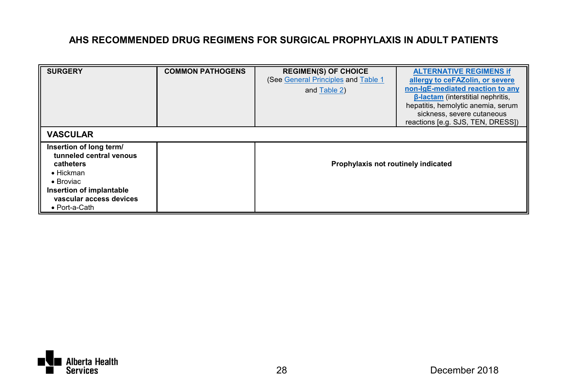| <b>SURGERY</b>                                                                                                                                                                    | <b>COMMON PATHOGENS</b> | <b>REGIMEN(S) OF CHOICE</b><br>(See General Principles and Table 1)<br>and Table 2) | <b>ALTERNATIVE REGIMENS If</b><br>allergy to ceFAZolin, or severe<br>non-IgE-mediated reaction to any<br><b>B-lactam</b> (interstitial nephritis,<br>hepatitis, hemolytic anemia, serum<br>sickness, severe cutaneous<br>reactions [e.g. SJS, TEN, DRESS]) |
|-----------------------------------------------------------------------------------------------------------------------------------------------------------------------------------|-------------------------|-------------------------------------------------------------------------------------|------------------------------------------------------------------------------------------------------------------------------------------------------------------------------------------------------------------------------------------------------------|
| <b>VASCULAR</b>                                                                                                                                                                   |                         |                                                                                     |                                                                                                                                                                                                                                                            |
| Insertion of long term/<br>tunneled central venous<br>catheters<br>$\bullet$ Hickman<br>$\bullet$ Broviac<br>Insertion of implantable<br>vascular access devices<br>• Port-a-Cath |                         | Prophylaxis not routinely indicated                                                 |                                                                                                                                                                                                                                                            |

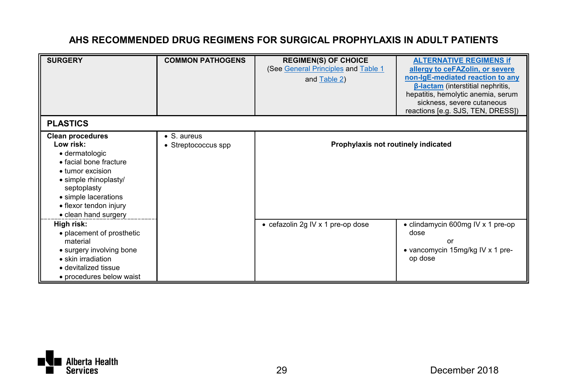| <b>SURGERY</b>                                                                                                                                                                                                          | <b>COMMON PATHOGENS</b>                    | <b>REGIMEN(S) OF CHOICE</b><br>(See General Principles and Table 1<br>and Table 2) | <b>ALTERNATIVE REGIMENS if</b><br>allergy to ceFAZolin, or severe<br>non-IgE-mediated reaction to any<br><b>B-lactam</b> (interstitial nephritis,<br>hepatitis, hemolytic anemia, serum<br>sickness, severe cutaneous<br>reactions [e.g. SJS, TEN, DRESS]) |
|-------------------------------------------------------------------------------------------------------------------------------------------------------------------------------------------------------------------------|--------------------------------------------|------------------------------------------------------------------------------------|------------------------------------------------------------------------------------------------------------------------------------------------------------------------------------------------------------------------------------------------------------|
| <b>PLASTICS</b>                                                                                                                                                                                                         |                                            |                                                                                    |                                                                                                                                                                                                                                                            |
| <b>Clean procedures</b><br>I ow risk:<br>· dermatologic<br>· facial bone fracture<br>• tumor excision<br>· simple rhinoplasty/<br>septoplasty<br>• simple lacerations<br>• flexor tendon injury<br>• clean hand surgery | $\bullet$ S. aureus<br>• Streptococcus spp | Prophylaxis not routinely indicated                                                |                                                                                                                                                                                                                                                            |
| High risk:<br>• placement of prosthetic<br>material<br>• surgery involving bone<br>• skin irradiation<br>· devitalized tissue<br>· procedures below waist                                                               |                                            | • cefazolin 2g IV x 1 pre-op dose                                                  | • clindamycin 600mg IV x 1 pre-op<br>dose<br>or<br>• vancomycin 15mg/kg IV x 1 pre-<br>op dose                                                                                                                                                             |

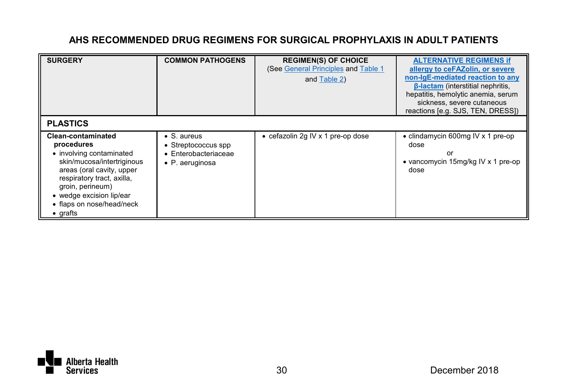| <b>SURGERY</b>                                                                                                                                                                                                                                                | <b>COMMON PATHOGENS</b>                                                                       | <b>REGIMEN(S) OF CHOICE</b><br>(See General Principles and Table 1)<br>and Table 2) | <b>ALTERNATIVE REGIMENS If</b><br>allergy to ceFAZolin, or severe<br>non-IgE-mediated reaction to any<br><b>B-lactam</b> (interstitial nephritis,<br>hepatitis, hemolytic anemia, serum<br>sickness, severe cutaneous<br>reactions [e.g. SJS, TEN, DRESS]) |
|---------------------------------------------------------------------------------------------------------------------------------------------------------------------------------------------------------------------------------------------------------------|-----------------------------------------------------------------------------------------------|-------------------------------------------------------------------------------------|------------------------------------------------------------------------------------------------------------------------------------------------------------------------------------------------------------------------------------------------------------|
| <b>PLASTICS</b>                                                                                                                                                                                                                                               |                                                                                               |                                                                                     |                                                                                                                                                                                                                                                            |
| <b>Clean-contaminated</b><br>procedures<br>• involving contaminated<br>skin/mucosa/intertriginous<br>areas (oral cavity, upper<br>respiratory tract, axilla,<br>groin, perineum)<br>• wedge excision lip/ear<br>• flaps on nose/head/neck<br>$\bullet$ grafts | $\bullet$ S. aureus<br>• Streptococcus spp<br>$\bullet$ Enterobacteriaceae<br>• P. aeruginosa | • cefazolin 2g IV x 1 pre-op dose                                                   | • clindamycin 600mg IV x 1 pre-op<br>dose<br>or<br>• vancomycin 15mg/kg IV x 1 pre-op<br>dose                                                                                                                                                              |

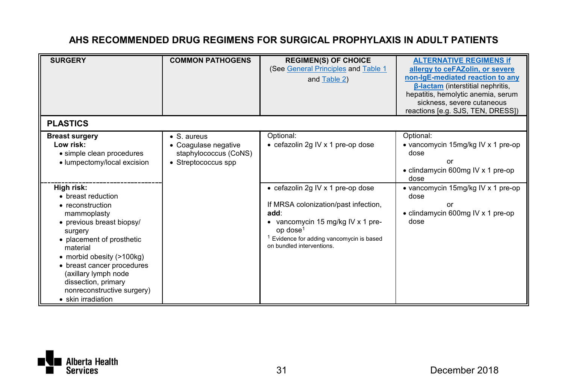| <b>SURGERY</b>                                                                                                                                                                                                                                                                                                     | <b>COMMON PATHOGENS</b>                                                             | <b>REGIMEN(S) OF CHOICE</b><br>(See General Principles and Table 1<br>and Table 2)                                                                                                                                       | <b>ALTERNATIVE REGIMENS If</b><br>allergy to ceFAZolin, or severe<br>non-IgE-mediated reaction to any<br><b>B-lactam</b> (interstitial nephritis,<br>hepatitis, hemolytic anemia, serum<br>sickness, severe cutaneous<br>reactions [e.g. SJS, TEN, DRESS]) |
|--------------------------------------------------------------------------------------------------------------------------------------------------------------------------------------------------------------------------------------------------------------------------------------------------------------------|-------------------------------------------------------------------------------------|--------------------------------------------------------------------------------------------------------------------------------------------------------------------------------------------------------------------------|------------------------------------------------------------------------------------------------------------------------------------------------------------------------------------------------------------------------------------------------------------|
| <b>PLASTICS</b>                                                                                                                                                                                                                                                                                                    |                                                                                     |                                                                                                                                                                                                                          |                                                                                                                                                                                                                                                            |
| <b>Breast surgery</b><br>Low risk:<br>• simple clean procedures<br>• lumpectomy/local excision                                                                                                                                                                                                                     | • S. aureus<br>• Coaqulase negative<br>staphylococcus (CoNS)<br>• Streptococcus spp | Optional:<br>• cefazolin 2g IV x 1 pre-op dose                                                                                                                                                                           | Optional:<br>• vancomycin 15mg/kg IV x 1 pre-op<br>dose<br>or<br>• clindamycin 600mg IV x 1 pre-op<br>dose                                                                                                                                                 |
| High risk:<br>• breast reduction<br>• reconstruction<br>mammoplasty<br>• previous breast biopsy/<br>surgery<br>• placement of prosthetic<br>material<br>• morbid obesity (>100kg)<br>• breast cancer procedures<br>(axillary lymph node<br>dissection, primary<br>nonreconstructive surgery)<br>• skin irradiation |                                                                                     | • cefazolin 2g IV x 1 pre-op dose<br>If MRSA colonization/past infection,<br>add:<br>• vancomycin 15 mg/kg IV x 1 pre-<br>$op$ dose <sup>1</sup><br>Evidence for adding vancomycin is based<br>on bundled interventions. | • vancomycin 15mg/kg IV x 1 pre-op<br>dose<br>or<br>• clindamycin 600mg IV x 1 pre-op<br>dose                                                                                                                                                              |

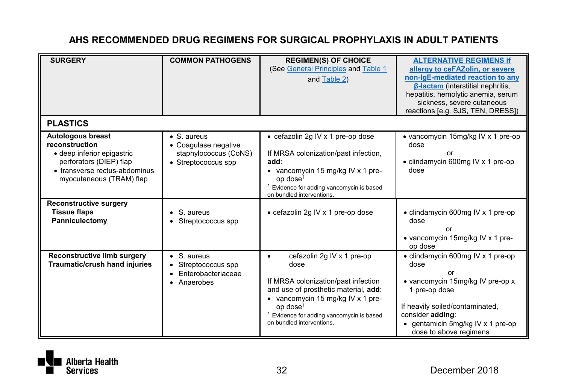| <b>SURGERY</b>                                                                                                                                            | <b>COMMON PATHOGENS</b>                                                                     | <b>REGIMEN(S) OF CHOICE</b><br>(See General Principles and Table 1<br>and Table 2)                                                                                                                                                                          | <b>ALTERNATIVE REGIMENS if</b><br>allergy to ceFAZolin, or severe<br>non-IgE-mediated reaction to any                                                                                                                      |
|-----------------------------------------------------------------------------------------------------------------------------------------------------------|---------------------------------------------------------------------------------------------|-------------------------------------------------------------------------------------------------------------------------------------------------------------------------------------------------------------------------------------------------------------|----------------------------------------------------------------------------------------------------------------------------------------------------------------------------------------------------------------------------|
|                                                                                                                                                           |                                                                                             |                                                                                                                                                                                                                                                             | <b>B-lactam</b> (interstitial nephritis,<br>hepatitis, hemolytic anemia, serum<br>sickness, severe cutaneous<br>reactions [e.g. SJS, TEN, DRESS])                                                                          |
| <b>PLASTICS</b>                                                                                                                                           |                                                                                             |                                                                                                                                                                                                                                                             |                                                                                                                                                                                                                            |
| Autologous breast<br>reconstruction<br>· deep inferior epigastric<br>perforators (DIEP) flap<br>• transverse rectus-abdominus<br>myocutaneous (TRAM) flap | $\bullet$ S. aureus<br>• Coagulase negative<br>staphylococcus (CoNS)<br>• Streptococcus spp | • cefazolin 2g IV x 1 pre-op dose<br>If MRSA colonization/past infection,<br>add:<br>• vancomycin 15 mg/kg IV x 1 pre-<br>op dose <sup>1</sup><br>Evidence for adding vancomycin is based<br>on bundled interventions.                                      | • vancomycin 15mg/kg IV x 1 pre-op<br>dose<br>or<br>• clindamycin 600mg IV x 1 pre-op<br>dose                                                                                                                              |
| <b>Reconstructive surgery</b><br><b>Tissue flaps</b><br>Panniculectomy                                                                                    | S. aureus<br>Streptococcus spp                                                              | • cefazolin 2g IV x 1 pre-op dose                                                                                                                                                                                                                           | • clindamycin 600mg IV x 1 pre-op<br>dose<br>or<br>• vancomycin 15mg/kg IV x 1 pre-<br>op dose                                                                                                                             |
| Reconstructive limb surgery<br>Traumatic/crush hand injuries                                                                                              | $\bullet$ S. aureus<br>Streptococcus spp<br>٠<br>Enterobacteriaceae<br>• Anaerobes          | cefazolin 2g IV x 1 pre-op<br>٠<br>dose<br>If MRSA colonization/past infection<br>and use of prosthetic material, add:<br>• vancomycin 15 mg/kg IV x 1 pre-<br>op dose <sup>1</sup><br>Evidence for adding vancomycin is based<br>on bundled interventions. | • clindamycin 600mg IV x 1 pre-op<br>dose<br>or<br>• vancomycin 15mg/kg IV pre-op x<br>1 pre-op dose<br>If heavily soiled/contaminated,<br>consider adding:<br>• gentamicin 5mg/kg IV x 1 pre-op<br>dose to above regimens |

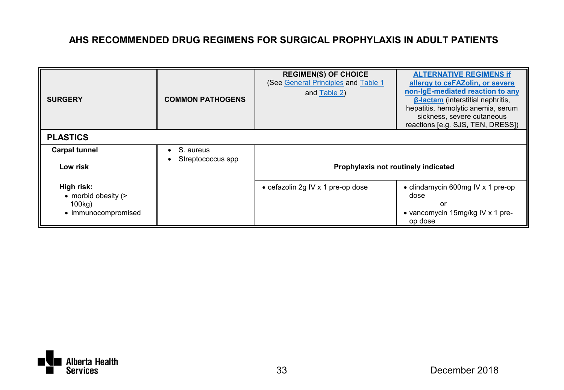| <b>SURGERY</b><br><b>PLASTICS</b>                                  | <b>COMMON PATHOGENS</b>        | <b>REGIMEN(S) OF CHOICE</b><br>(See General Principles and Table 1<br>and Table 2) | <b>ALTERNATIVE REGIMENS if</b><br>allergy to ceFAZolin, or severe<br>non-IgE-mediated reaction to any<br><b>B-lactam</b> (interstitial nephritis,<br>hepatitis, hemolytic anemia, serum<br>sickness, severe cutaneous<br>reactions [e.g. SJS, TEN, DRESS]) |
|--------------------------------------------------------------------|--------------------------------|------------------------------------------------------------------------------------|------------------------------------------------------------------------------------------------------------------------------------------------------------------------------------------------------------------------------------------------------------|
|                                                                    |                                |                                                                                    |                                                                                                                                                                                                                                                            |
| <b>Carpal tunnel</b><br>Low risk                                   | S. aureus<br>Streptococcus spp | Prophylaxis not routinely indicated                                                |                                                                                                                                                                                                                                                            |
| High risk:<br>• morbid obesity (><br>100kg)<br>• immunocompromised |                                | • cefazolin 2g IV x 1 pre-op dose                                                  | • clindamycin 600mg IV x 1 pre-op<br>dose<br>or<br>• vancomycin 15mg/kg IV x 1 pre-<br>op dose                                                                                                                                                             |

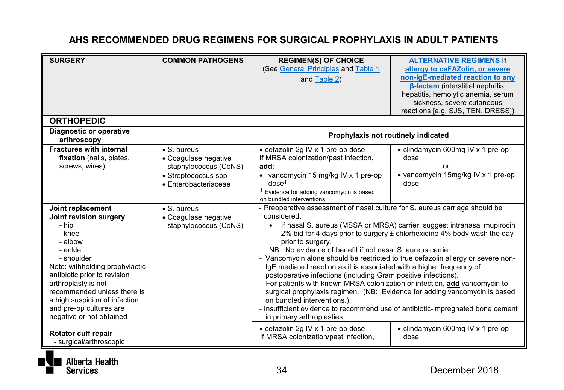| <b>SURGERY</b>                                                                                                                                                                                                                                                                                                     | <b>COMMON PATHOGENS</b>                                                                                             | <b>REGIMEN(S) OF CHOICE</b><br>(See General Principles and Table 1<br>and Table 2)                                                                                                                                                                                                                                                                                                                                                                                                                                                                                                                                                       | <b>ALTERNATIVE REGIMENS if</b><br>allergy to ceFAZolin, or severe<br>non-IgE-mediated reaction to any<br><b>B-lactam</b> (interstitial nephritis,<br>hepatitis, hemolytic anemia, serum<br>sickness, severe cutaneous              |
|--------------------------------------------------------------------------------------------------------------------------------------------------------------------------------------------------------------------------------------------------------------------------------------------------------------------|---------------------------------------------------------------------------------------------------------------------|------------------------------------------------------------------------------------------------------------------------------------------------------------------------------------------------------------------------------------------------------------------------------------------------------------------------------------------------------------------------------------------------------------------------------------------------------------------------------------------------------------------------------------------------------------------------------------------------------------------------------------------|------------------------------------------------------------------------------------------------------------------------------------------------------------------------------------------------------------------------------------|
|                                                                                                                                                                                                                                                                                                                    |                                                                                                                     |                                                                                                                                                                                                                                                                                                                                                                                                                                                                                                                                                                                                                                          | reactions [e.g. SJS, TEN, DRESS])                                                                                                                                                                                                  |
| <b>ORTHOPEDIC</b>                                                                                                                                                                                                                                                                                                  |                                                                                                                     |                                                                                                                                                                                                                                                                                                                                                                                                                                                                                                                                                                                                                                          |                                                                                                                                                                                                                                    |
| Diagnostic or operative<br>arthroscopy                                                                                                                                                                                                                                                                             |                                                                                                                     | Prophylaxis not routinely indicated                                                                                                                                                                                                                                                                                                                                                                                                                                                                                                                                                                                                      |                                                                                                                                                                                                                                    |
| <b>Fractures with internal</b><br>fixation (nails, plates,<br>screws, wires)                                                                                                                                                                                                                                       | $\bullet$ S. aureus<br>• Coaqulase negative<br>staphylococcus (CoNS)<br>• Streptococcus spp<br>· Enterobacteriaceae | • cefazolin 2g IV x 1 pre-op dose<br>If MRSA colonization/past infection,<br>add:<br>• vancomycin 15 mg/kg IV x 1 pre-op<br>dose <sup>1</sup><br><sup>1</sup> Evidence for adding vancomycin is based<br>on bundled interventions.                                                                                                                                                                                                                                                                                                                                                                                                       | • clindamycin 600mg IV x 1 pre-op<br>dose<br>or<br>• vancomycin 15mg/kg IV x 1 pre-op<br>dose                                                                                                                                      |
| Joint replacement<br>Joint revision surgery<br>- hip<br>- knee<br>- elbow<br>- ankle<br>- shoulder<br>Note: withholding prophylactic<br>antibiotic prior to revision<br>arthroplasty is not<br>recommended unless there is<br>a high suspicion of infection<br>and pre-op cultures are<br>negative or not obtained | $\bullet$ S. aureus<br>• Coaqulase negative<br>staphylococcus (CoNS)                                                | - Preoperative assessment of nasal culture for S. aureus carriage should be<br>considered.<br>prior to surgery.<br>NB: No evidence of benefit if not nasal S, aureus carrier.<br>- Vancomycin alone should be restricted to true cefazolin allergy or severe non-<br>IqE mediated reaction as it is associated with a higher frequency of<br>postoperative infections (including Gram positive infections).<br>- For patients with known MRSA colonization or infection, add vancomycin to<br>on bundled interventions.)<br>- Insufficient evidence to recommend use of antibiotic-impregnated bone cement<br>in primary arthroplasties. | • If nasal S. aureus (MSSA or MRSA) carrier, suggest intranasal mupirocin<br>2% bid for 4 days prior to surgery ± chlorhexidine 4% body wash the day<br>surgical prophylaxis regimen. (NB: Evidence for adding vancomycin is based |
| Rotator cuff repair<br>- surgical/arthroscopic                                                                                                                                                                                                                                                                     |                                                                                                                     | • cefazolin 2g IV x 1 pre-op dose<br>If MRSA colonization/past infection,                                                                                                                                                                                                                                                                                                                                                                                                                                                                                                                                                                | • clindamycin 600mg IV x 1 pre-op<br>dose                                                                                                                                                                                          |

Alberta Health **Services**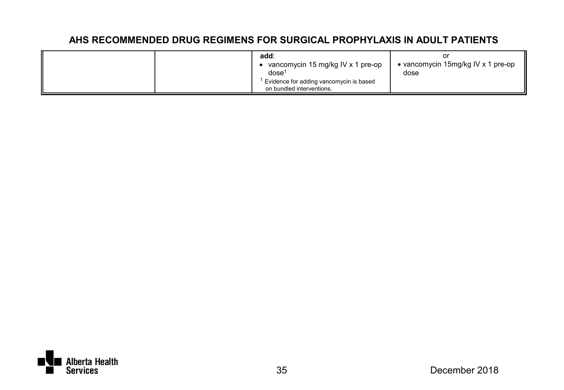| add:<br>vancomycin 15 mg/kg IV x 1 pre-op<br>dose <sup>1</sup>       | • vancomycin 15mg/kg IV x 1 pre-op<br>dose |
|----------------------------------------------------------------------|--------------------------------------------|
| Evidence for adding vancomycin is based<br>on bundled interventions. |                                            |

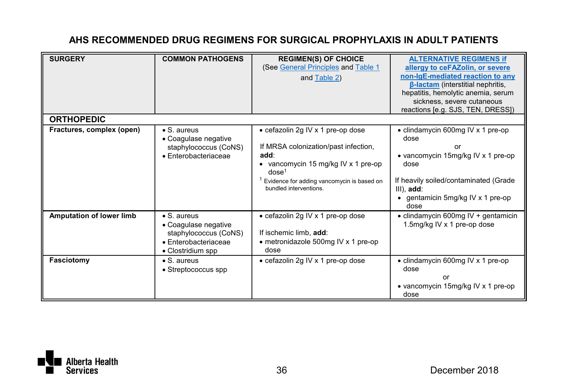| <b>SURGERY</b>            | <b>COMMON PATHOGENS</b>                                                                                           | <b>REGIMEN(S) OF CHOICE</b><br>(See General Principles and Table 1<br>and Table 2)                                                                                                                                                 | <b>ALTERNATIVE REGIMENS if</b><br>allergy to ceFAZolin, or severe<br>non-IgE-mediated reaction to any<br><b>B-lactam</b> (interstitial nephritis,<br>hepatitis, hemolytic anemia, serum<br>sickness, severe cutaneous<br>reactions [e.g. SJS, TEN, DRESS]) |
|---------------------------|-------------------------------------------------------------------------------------------------------------------|------------------------------------------------------------------------------------------------------------------------------------------------------------------------------------------------------------------------------------|------------------------------------------------------------------------------------------------------------------------------------------------------------------------------------------------------------------------------------------------------------|
| <b>ORTHOPEDIC</b>         |                                                                                                                   |                                                                                                                                                                                                                                    |                                                                                                                                                                                                                                                            |
| Fractures, complex (open) | • S. aureus<br>• Coagulase negative<br>staphylococcus (CoNS)<br>· Enterobacteriaceae                              | • cefazolin 2g IV x 1 pre-op dose<br>If MRSA colonization/past infection,<br>add:<br>• vancomycin 15 mg/kg IV x 1 pre-op<br>dose <sup>1</sup><br><sup>1</sup> Evidence for adding vancomycin is based on<br>bundled interventions. | • clindamycin 600mg IV x 1 pre-op<br>dose<br>or<br>• vancomycin 15mg/kg IV x 1 pre-op<br>dose<br>If heavily soiled/contaminated (Grade<br>$III$ ), $add:$<br>• gentamicin 5mg/kg IV x 1 pre-op<br>dose                                                     |
| Amputation of lower limb  | $\bullet$ S. aureus<br>• Coaquiase negative<br>staphylococcus (CoNS)<br>· Enterobacteriaceae<br>• Clostridium spp | • cefazolin 2g IV x 1 pre-op dose<br>If ischemic limb. add:<br>• metronidazole 500mg IV x 1 pre-op<br>dose                                                                                                                         | • clindamycin 600mg IV + gentamicin<br>1.5mg/kg IV x 1 pre-op dose                                                                                                                                                                                         |
| Fasciotomy                | $\bullet$ S. aureus<br>• Streptococcus spp                                                                        | • cefazolin 2g IV x 1 pre-op dose                                                                                                                                                                                                  | • clindamycin 600mg IV x 1 pre-op<br>dose<br>or<br>• vancomycin 15mg/kg IV x 1 pre-op<br>dose                                                                                                                                                              |

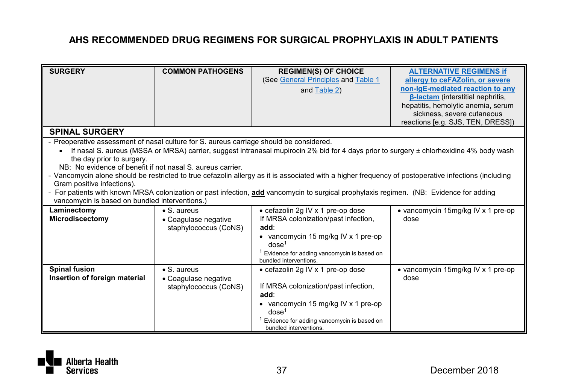| <b>SURGERY</b>                                                                          | <b>COMMON PATHOGENS</b>                       | <b>REGIMEN(S) OF CHOICE</b>                                                                                                                          | <b>ALTERNATIVE REGIMENS if</b>           |
|-----------------------------------------------------------------------------------------|-----------------------------------------------|------------------------------------------------------------------------------------------------------------------------------------------------------|------------------------------------------|
|                                                                                         |                                               | (See General Principles and Table 1                                                                                                                  | allergy to ceFAZolin, or severe          |
|                                                                                         |                                               | and Table 2)                                                                                                                                         | non-IgE-mediated reaction to any         |
|                                                                                         |                                               |                                                                                                                                                      | <b>B-lactam</b> (interstitial nephritis, |
|                                                                                         |                                               |                                                                                                                                                      | hepatitis, hemolytic anemia, serum       |
|                                                                                         |                                               |                                                                                                                                                      | sickness, severe cutaneous               |
| <b>SPINAL SURGERY</b>                                                                   |                                               |                                                                                                                                                      | reactions [e.g. SJS, TEN, DRESS])        |
|                                                                                         |                                               |                                                                                                                                                      |                                          |
| - Preoperative assessment of nasal culture for S. aureus carriage should be considered. |                                               |                                                                                                                                                      |                                          |
|                                                                                         |                                               | If nasal S. aureus (MSSA or MRSA) carrier, suggest intranasal mupirocin 2% bid for 4 days prior to surgery ± chlorhexidine 4% body wash              |                                          |
| the day prior to surgery.                                                               |                                               |                                                                                                                                                      |                                          |
| NB: No evidence of benefit if not nasal S, aureus carrier.                              |                                               |                                                                                                                                                      |                                          |
|                                                                                         |                                               | - Vancomycin alone should be restricted to true cefazolin allergy as it is associated with a higher frequency of postoperative infections (including |                                          |
| Gram positive infections).                                                              |                                               | - For patients with known MRSA colonization or past infection, add vancomycin to surgical prophylaxis regimen. (NB: Evidence for adding              |                                          |
| vancomycin is based on bundled interventions.)                                          |                                               |                                                                                                                                                      |                                          |
| Laminectomy                                                                             | $\bullet$ S. aureus                           | • cefazolin 2g IV x 1 pre-op dose                                                                                                                    | • vancomycin 15mg/kg IV x 1 pre-op       |
| Microdiscectomy                                                                         |                                               | If MRSA colonization/past infection,                                                                                                                 | dose                                     |
|                                                                                         | • Coagulase negative<br>staphylococcus (CoNS) | add:                                                                                                                                                 |                                          |
|                                                                                         |                                               | • vancomycin 15 mg/kg IV x 1 pre-op                                                                                                                  |                                          |
|                                                                                         |                                               | dose <sup>1</sup>                                                                                                                                    |                                          |
|                                                                                         |                                               | <sup>1</sup> Evidence for adding vancomycin is based on                                                                                              |                                          |
|                                                                                         |                                               | bundled interventions.                                                                                                                               |                                          |
| <b>Spinal fusion</b>                                                                    | $\bullet$ S. aureus                           | • cefazolin 2g IV x 1 pre-op dose                                                                                                                    | • vancomycin 15mg/kg IV x 1 pre-op       |
| Insertion of foreign material                                                           | • Coagulase negative                          |                                                                                                                                                      | dose                                     |
|                                                                                         | staphylococcus (CoNS)                         | If MRSA colonization/past infection,                                                                                                                 |                                          |
|                                                                                         |                                               | add:                                                                                                                                                 |                                          |
|                                                                                         |                                               | • vancomycin 15 mg/kg IV x 1 pre-op                                                                                                                  |                                          |
|                                                                                         |                                               | dose <sup>1</sup>                                                                                                                                    |                                          |
|                                                                                         |                                               | Evidence for adding vancomycin is based on                                                                                                           |                                          |
|                                                                                         |                                               | bundled interventions.                                                                                                                               |                                          |

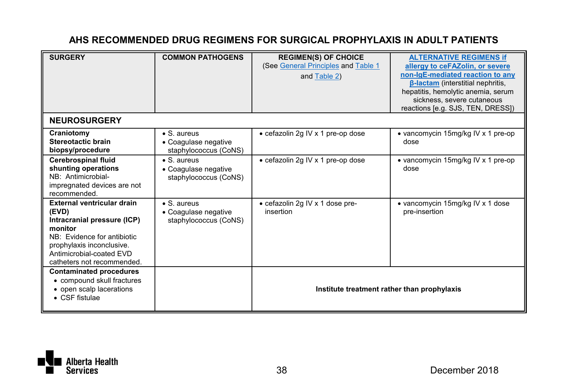| <b>SURGERY</b>                                                                                                                                                                                      | <b>COMMON PATHOGENS</b>                                              | <b>REGIMEN(S) OF CHOICE</b><br>(See General Principles and Table 1<br>and Table 2) | <b>ALTERNATIVE REGIMENS If</b><br>allergy to ceFAZolin, or severe<br>non-IgE-mediated reaction to any<br><b>B-lactam (interstitial nephritis.</b><br>hepatitis, hemolytic anemia, serum<br>sickness, severe cutaneous<br>reactions [e.g. SJS, TEN, DRESS]) |
|-----------------------------------------------------------------------------------------------------------------------------------------------------------------------------------------------------|----------------------------------------------------------------------|------------------------------------------------------------------------------------|------------------------------------------------------------------------------------------------------------------------------------------------------------------------------------------------------------------------------------------------------------|
| <b>NEUROSURGERY</b>                                                                                                                                                                                 |                                                                      |                                                                                    |                                                                                                                                                                                                                                                            |
| Craniotomy<br>Stereotactic brain<br>biopsy/procedure                                                                                                                                                | $\bullet$ S. aureus<br>• Coagulase negative<br>staphylococcus (CoNS) | • cefazolin 2g IV x 1 pre-op dose                                                  | • vancomycin 15mg/kg IV x 1 pre-op<br>dose                                                                                                                                                                                                                 |
| Cerebrospinal fluid<br>shunting operations<br>NB: Antimicrobial-<br>impregnated devices are not<br>recommended.                                                                                     | $\bullet$ S. aureus<br>• Coaqulase negative<br>staphylococcus (CoNS) | • cefazolin 2g IV x 1 pre-op dose                                                  | • vancomycin 15mg/kg IV x 1 pre-op<br>dose                                                                                                                                                                                                                 |
| External ventricular drain<br>(EVD)<br>Intracranial pressure (ICP)<br>monitor<br>NB: Evidence for antibiotic<br>prophylaxis inconclusive.<br>Antimicrobial-coated EVD<br>catheters not recommended. | $\bullet$ S. aureus<br>• Coagulase negative<br>staphylococcus (CoNS) | • cefazolin 2g IV x 1 dose pre-<br>insertion                                       | • vancomycin 15mg/kg IV x 1 dose<br>pre-insertion                                                                                                                                                                                                          |
| <b>Contaminated procedures</b><br>• compound skull fractures<br>• open scalp lacerations<br>$\bullet$ CSF fistulae                                                                                  |                                                                      | Institute treatment rather than prophylaxis                                        |                                                                                                                                                                                                                                                            |

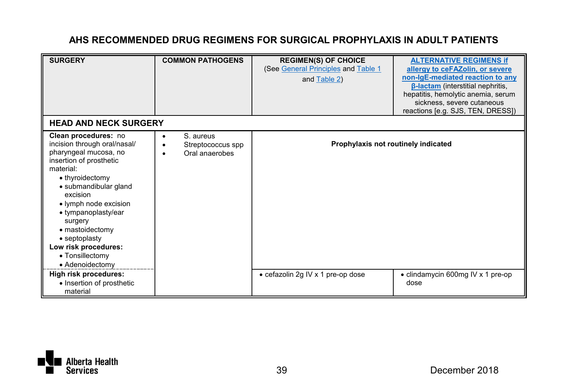| <b>SURGERY</b><br><b>HEAD AND NECK SURGERY</b>                                                                                                                                                                                                                                                                                                                      | <b>COMMON PATHOGENS</b>                               | <b>REGIMEN(S) OF CHOICE</b><br>(See General Principles and Table 1<br>and Table 2) | <b>ALTERNATIVE REGIMENS if</b><br>allergy to ceFAZolin, or severe<br>non-IgE-mediated reaction to any<br><b>B-lactam</b> (interstitial nephritis,<br>hepatitis, hemolytic anemia, serum<br>sickness, severe cutaneous<br>reactions [e.g. SJS, TEN, DRESS]) |
|---------------------------------------------------------------------------------------------------------------------------------------------------------------------------------------------------------------------------------------------------------------------------------------------------------------------------------------------------------------------|-------------------------------------------------------|------------------------------------------------------------------------------------|------------------------------------------------------------------------------------------------------------------------------------------------------------------------------------------------------------------------------------------------------------|
| Clean procedures: no<br>incision through oral/nasal/<br>pharyngeal mucosa, no<br>insertion of prosthetic<br>material:<br>• thyroidectomy<br>· submandibular gland<br>excision<br>• lymph node excision<br>• tympanoplasty/ear<br>surgery<br>• mastoidectomy<br>• septoplasty<br>Low risk procedures:<br>• Tonsillectomy<br>• Adenoidectomy<br>High risk procedures: | S. aureus<br>٠<br>Streptococcus spp<br>Oral anaerobes | Prophylaxis not routinely indicated<br>• cefazolin 2g IV x 1 pre-op dose           | • clindamycin 600mg IV x 1 pre-op                                                                                                                                                                                                                          |
| • Insertion of prosthetic<br>material                                                                                                                                                                                                                                                                                                                               |                                                       |                                                                                    | dose                                                                                                                                                                                                                                                       |

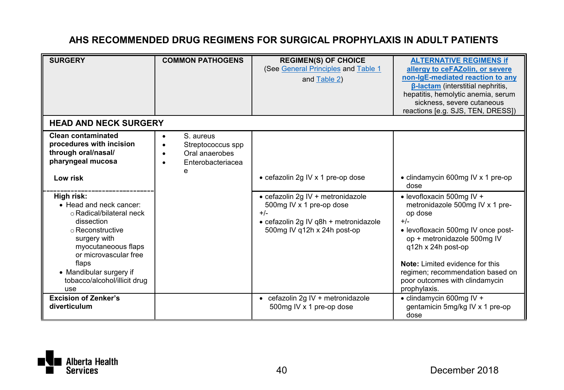| <b>SURGERY</b>                                                                                                                                                                                                                                 | <b>COMMON PATHOGENS</b>                                                    | <b>REGIMEN(S) OF CHOICE</b><br>(See General Principles and Table 1<br>and Table 2)                                                             | <b>ALTERNATIVE REGIMENS if</b><br>allergy to ceFAZolin, or severe<br>non-IgE-mediated reaction to any<br><b>B-lactam</b> (interstitial nephritis,<br>hepatitis, hemolytic anemia, serum<br>sickness, severe cutaneous<br>reactions [e.g. SJS, TEN, DRESS])                                           |
|------------------------------------------------------------------------------------------------------------------------------------------------------------------------------------------------------------------------------------------------|----------------------------------------------------------------------------|------------------------------------------------------------------------------------------------------------------------------------------------|------------------------------------------------------------------------------------------------------------------------------------------------------------------------------------------------------------------------------------------------------------------------------------------------------|
| <b>HEAD AND NECK SURGERY</b><br>Clean contaminated<br>procedures with incision<br>through oral/nasal/<br>pharyngeal mucosa<br>Low risk                                                                                                         | S. aureus<br>Streptococcus spp<br>Oral anaerobes<br>Enterobacteriacea<br>e | • cefazolin 2g IV x 1 pre-op dose                                                                                                              | • clindamycin 600mg IV x 1 pre-op<br>dose                                                                                                                                                                                                                                                            |
| High risk:<br>• Head and neck cancer:<br>o Radical/bilateral neck<br>dissection<br>o Reconstructive<br>surgery with<br>myocutaneoous flaps<br>or microvascular free<br>flaps<br>• Mandibular surgery if<br>tobacco/alcohol/illicit drug<br>use |                                                                            | · cefazolin 2q IV + metronidazole<br>500mg IV x 1 pre-op dose<br>$+/-$<br>· cefazolin 2g IV q8h + metronidazole<br>500mg IV g12h x 24h post-op | • levofloxacin 500mg IV +<br>metronidazole 500mg IV x 1 pre-<br>op dose<br>$+/-$<br>· levofloxacin 500mg IV once post-<br>op + metronidazole 500mg IV<br>q12h x 24h post-op<br>Note: Limited evidence for this<br>regimen; recommendation based on<br>poor outcomes with clindamycin<br>prophylaxis. |
| <b>Excision of Zenker's</b><br>diverticulum                                                                                                                                                                                                    |                                                                            | • cefazolin 2g IV + metronidazole<br>500mg IV x 1 pre-op dose                                                                                  | $\bullet$ clindamycin 600mg IV +<br>gentamicin 5mg/kg IV x 1 pre-op<br>dose                                                                                                                                                                                                                          |

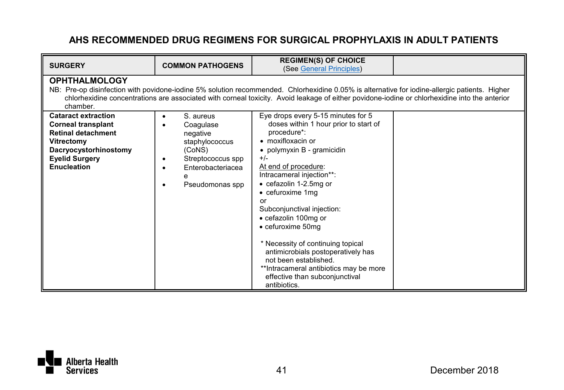| <b>SURGERY</b>                                                                                                                                                                                                                                                                                                                     | <b>COMMON PATHOGENS</b>                                                                                                     | <b>REGIMEN(S) OF CHOICE</b><br>(See General Principles)                                                                                                                                                                                                                                                                                                                                                                                                                                                                                            |  |  |  |
|------------------------------------------------------------------------------------------------------------------------------------------------------------------------------------------------------------------------------------------------------------------------------------------------------------------------------------|-----------------------------------------------------------------------------------------------------------------------------|----------------------------------------------------------------------------------------------------------------------------------------------------------------------------------------------------------------------------------------------------------------------------------------------------------------------------------------------------------------------------------------------------------------------------------------------------------------------------------------------------------------------------------------------------|--|--|--|
| <b>OPHTHALMOLOGY</b><br>NB: Pre-op disinfection with povidone-iodine 5% solution recommended. Chlorhexidine 0.05% is alternative for iodine-allergic patients. Higher<br>chlorhexidine concentrations are associated with corneal toxicity. Avoid leakage of either povidone-iodine or chlorhexidine into the anterior<br>chamber. |                                                                                                                             |                                                                                                                                                                                                                                                                                                                                                                                                                                                                                                                                                    |  |  |  |
| <b>Cataract extraction</b><br><b>Corneal transplant</b><br><b>Retinal detachment</b><br>Vitrectomy<br>Dacryocystorhinostomy<br><b>Eyelid Surgery</b><br>Enucleation                                                                                                                                                                | S. aureus<br>Coagulase<br>negative<br>staphylococcus<br>(CoNS)<br>Streptococcus spp<br>Enterobacteriacea<br>Pseudomonas spp | Eye drops every 5-15 minutes for 5<br>doses within 1 hour prior to start of<br>procedure*:<br>$\bullet$ moxifloxacin or<br>• polymyxin B - gramicidin<br>$+/-$<br>At end of procedure:<br>Intracameral injection**:<br>• cefazolin 1-2.5mg or<br>• cefuroxime 1mg<br>or<br>Subconjunctival injection:<br>• cefazolin 100mg or<br>• cefuroxime 50mg<br>* Necessity of continuing topical<br>antimicrobials postoperatively has<br>not been established.<br>**Intracameral antibiotics may be more<br>effective than subconjunctival<br>antibiotics. |  |  |  |